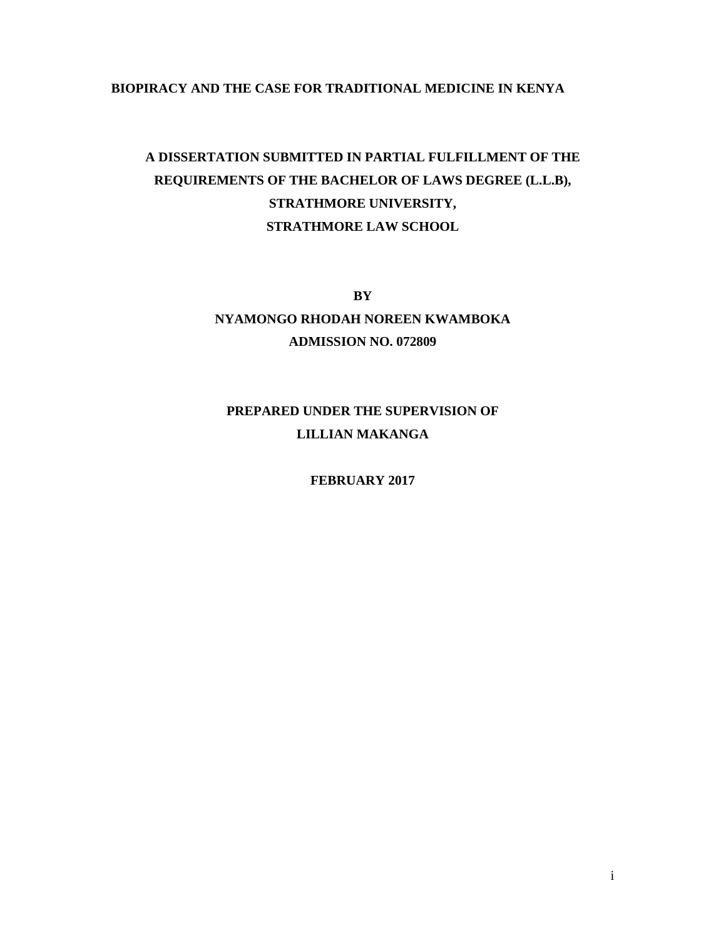# **BIOPIRACY AND THE CASE FOR TRADITIONAL MEDICINE IN KENYA**

# **A DISSERTATION SUBMITTED IN PARTIAL FULFILLMENT OF THE REQUIREMENTS OF THE BACHELOR OF LAWS DEGREE (L.L.B), STRATHMORE UNIVERSITY, STRATHMORE LAW SCHOOL**

**BY NYAMONGO RHODAH NOREEN KWAMBOKA ADMISSION NO. 072809** 

# **PREPARED UNDER THE SUPERVISION OF LILLIAN MAKANGA**

**FEBRUARY 2017**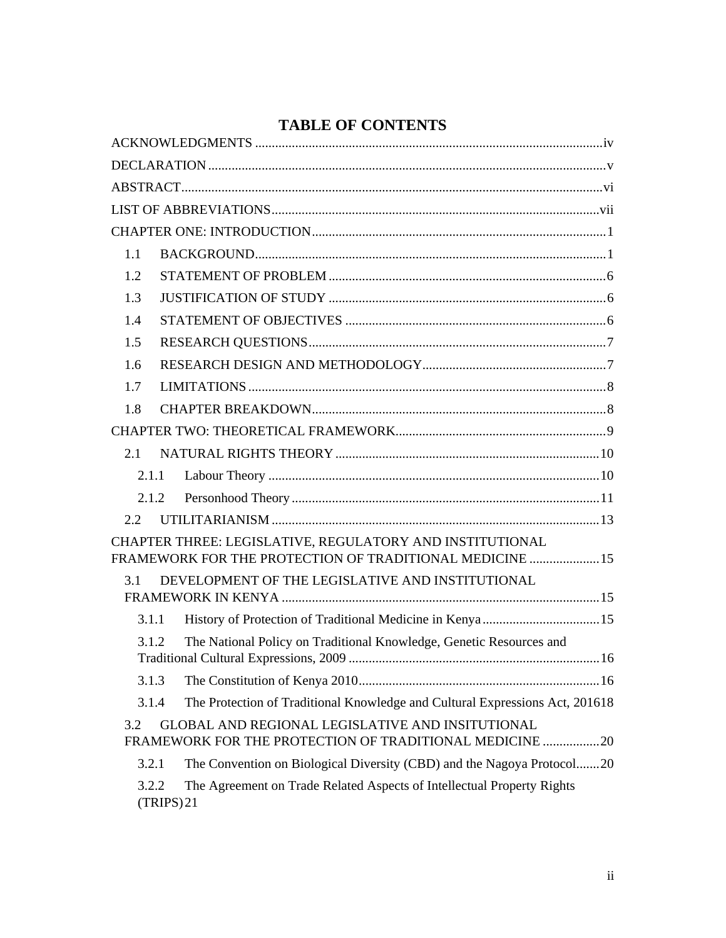| 1.1   |                                                                                                                      |
|-------|----------------------------------------------------------------------------------------------------------------------|
| 1.2   |                                                                                                                      |
| 1.3   |                                                                                                                      |
| 1.4   |                                                                                                                      |
| 1.5   |                                                                                                                      |
| 1.6   |                                                                                                                      |
| 1.7   |                                                                                                                      |
| 1.8   |                                                                                                                      |
|       |                                                                                                                      |
| 2.1   |                                                                                                                      |
| 2.1.1 |                                                                                                                      |
| 2.1.2 |                                                                                                                      |
| 2.2   |                                                                                                                      |
|       | CHAPTER THREE: LEGISLATIVE, REGULATORY AND INSTITUTIONAL<br>FRAMEWORK FOR THE PROTECTION OF TRADITIONAL MEDICINE  15 |
| 3.1   | DEVELOPMENT OF THE LEGISLATIVE AND INSTITUTIONAL                                                                     |
|       |                                                                                                                      |
| 3.1.1 |                                                                                                                      |
| 3.1.2 | The National Policy on Traditional Knowledge, Genetic Resources and                                                  |
| 3.1.3 |                                                                                                                      |
| 3.1.4 | The Protection of Traditional Knowledge and Cultural Expressions Act, 201618                                         |
| 3.2   | GLOBAL AND REGIONAL LEGISLATIVE AND INSITUTIONAL<br>FRAMEWORK FOR THE PROTECTION OF TRADITIONAL MEDICINE 20          |
| 3.2.1 | The Convention on Biological Diversity (CBD) and the Nagoya Protocol20                                               |
| 3.2.2 | The Agreement on Trade Related Aspects of Intellectual Property Rights<br>(TRIPS)21                                  |

# **TABLE OF CONTENTS**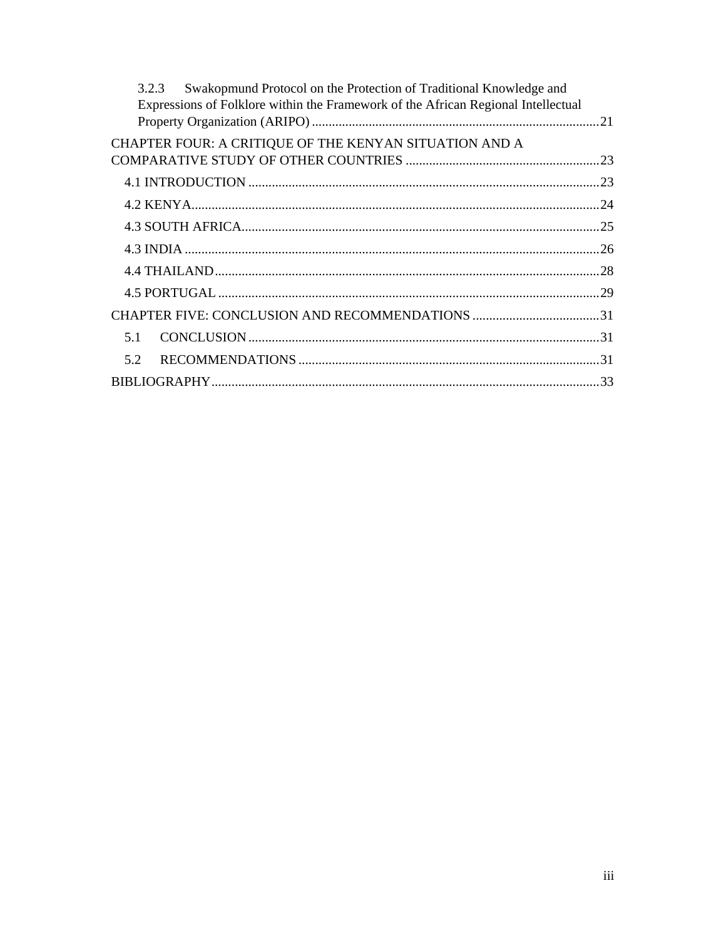| Swakopmund Protocol on the Protection of Traditional Knowledge and<br>3.2.3<br>Expressions of Folklore within the Framework of the African Regional Intellectual |  |  |
|------------------------------------------------------------------------------------------------------------------------------------------------------------------|--|--|
| CHAPTER FOUR: A CRITIQUE OF THE KENYAN SITUATION AND A                                                                                                           |  |  |
|                                                                                                                                                                  |  |  |
|                                                                                                                                                                  |  |  |
|                                                                                                                                                                  |  |  |
|                                                                                                                                                                  |  |  |
|                                                                                                                                                                  |  |  |
|                                                                                                                                                                  |  |  |
|                                                                                                                                                                  |  |  |
|                                                                                                                                                                  |  |  |
| 51                                                                                                                                                               |  |  |
| 5.2                                                                                                                                                              |  |  |
|                                                                                                                                                                  |  |  |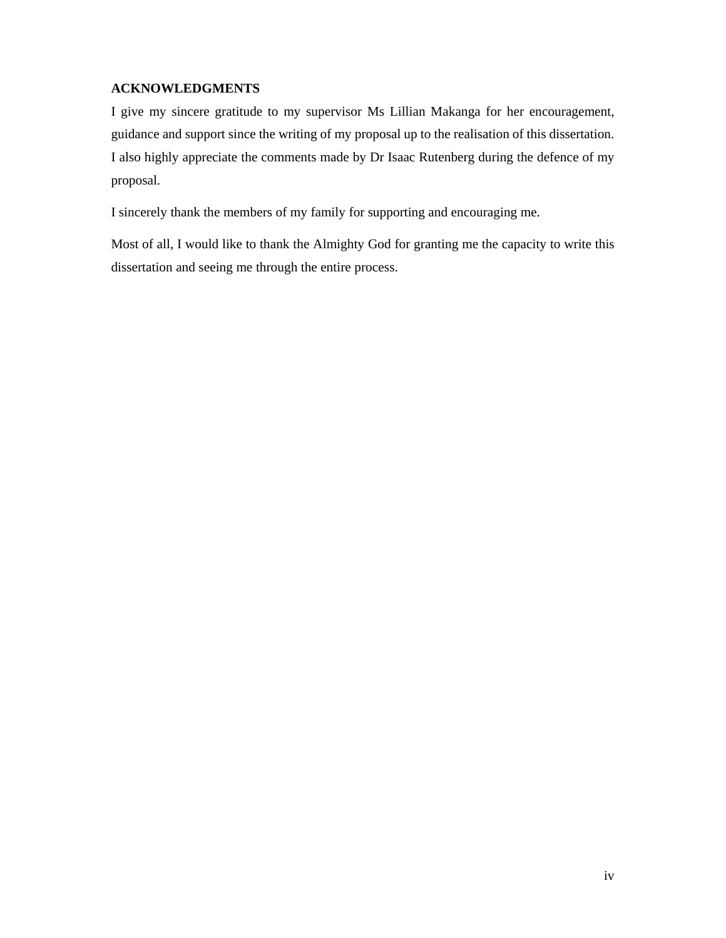# **ACKNOWLEDGMENTS**

I give my sincere gratitude to my supervisor Ms Lillian Makanga for her encouragement, guidance and support since the writing of my proposal up to the realisation of this dissertation. I also highly appreciate the comments made by Dr Isaac Rutenberg during the defence of my proposal.

I sincerely thank the members of my family for supporting and encouraging me.

Most of all, I would like to thank the Almighty God for granting me the capacity to write this dissertation and seeing me through the entire process.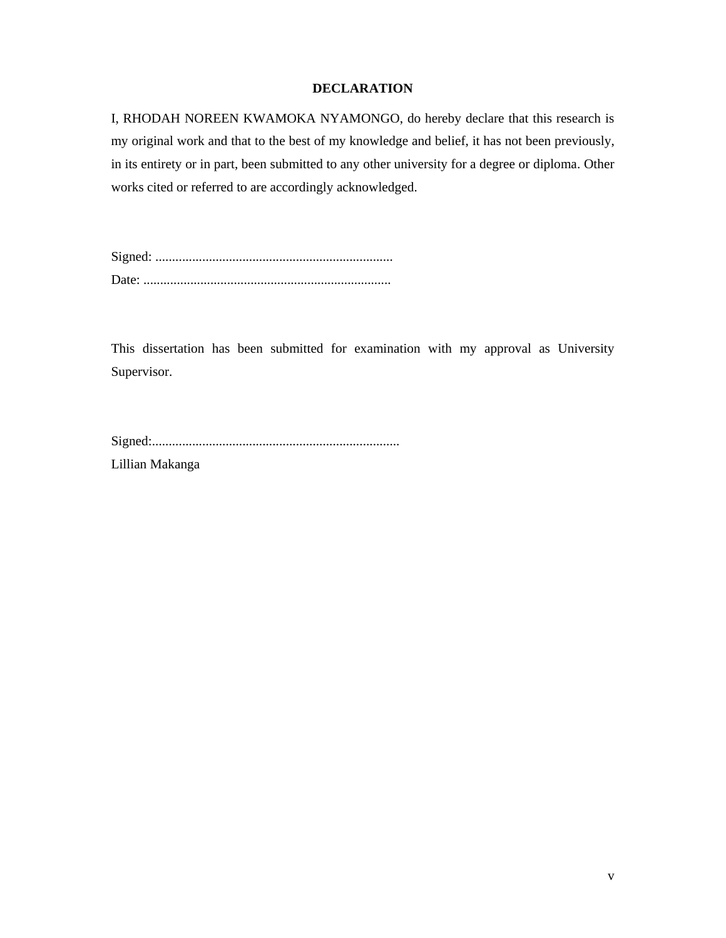# **DECLARATION**

I, RHODAH NOREEN KWAMOKA NYAMONGO, do hereby declare that this research is my original work and that to the best of my knowledge and belief, it has not been previously, in its entirety or in part, been submitted to any other university for a degree or diploma. Other works cited or referred to are accordingly acknowledged.

Signed: ....................................................................... Date: ..........................................................................

This dissertation has been submitted for examination with my approval as University Supervisor.

|--|

Lillian Makanga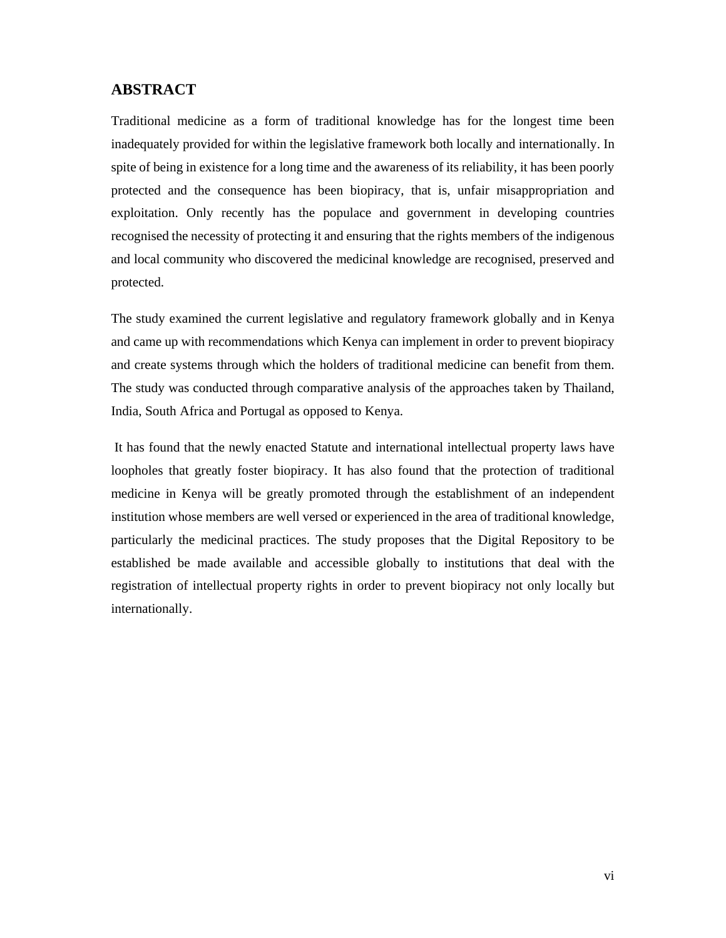# **ABSTRACT**

Traditional medicine as a form of traditional knowledge has for the longest time been inadequately provided for within the legislative framework both locally and internationally. In spite of being in existence for a long time and the awareness of its reliability, it has been poorly protected and the consequence has been biopiracy, that is, unfair misappropriation and exploitation. Only recently has the populace and government in developing countries recognised the necessity of protecting it and ensuring that the rights members of the indigenous and local community who discovered the medicinal knowledge are recognised, preserved and protected.

The study examined the current legislative and regulatory framework globally and in Kenya and came up with recommendations which Kenya can implement in order to prevent biopiracy and create systems through which the holders of traditional medicine can benefit from them. The study was conducted through comparative analysis of the approaches taken by Thailand, India, South Africa and Portugal as opposed to Kenya.

 It has found that the newly enacted Statute and international intellectual property laws have loopholes that greatly foster biopiracy. It has also found that the protection of traditional medicine in Kenya will be greatly promoted through the establishment of an independent institution whose members are well versed or experienced in the area of traditional knowledge, particularly the medicinal practices. The study proposes that the Digital Repository to be established be made available and accessible globally to institutions that deal with the registration of intellectual property rights in order to prevent biopiracy not only locally but internationally.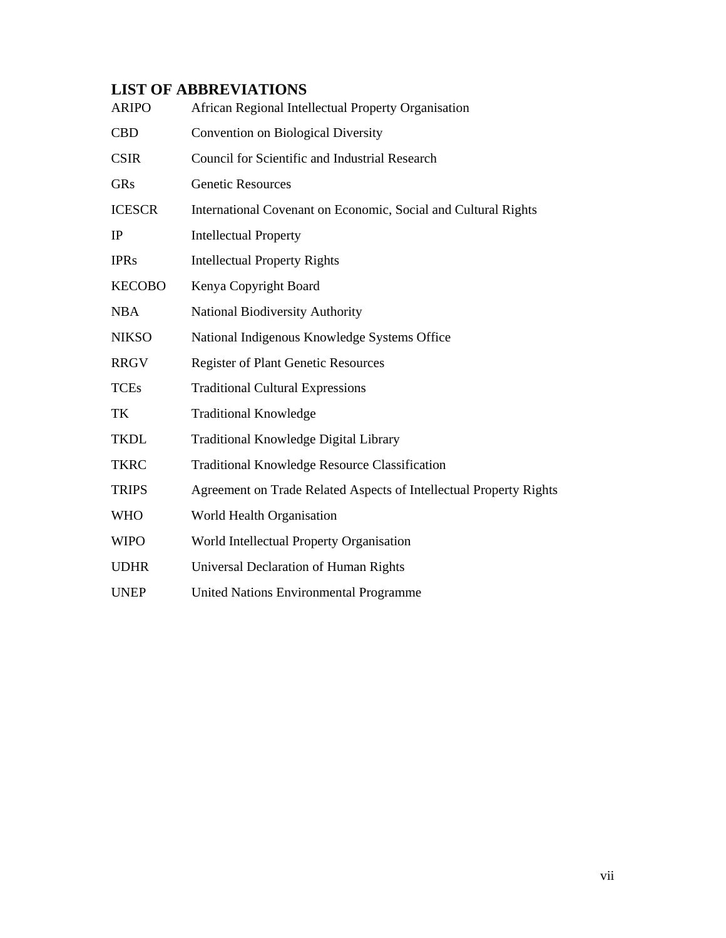# **LIST OF ABBREVIATIONS**

| <b>ARIPO</b>  | African Regional Intellectual Property Organisation                |
|---------------|--------------------------------------------------------------------|
| <b>CBD</b>    | Convention on Biological Diversity                                 |
| <b>CSIR</b>   | Council for Scientific and Industrial Research                     |
| GRs           | <b>Genetic Resources</b>                                           |
| <b>ICESCR</b> | International Covenant on Economic, Social and Cultural Rights     |
| IP            | <b>Intellectual Property</b>                                       |
| <b>IPRs</b>   | <b>Intellectual Property Rights</b>                                |
| <b>KECOBO</b> | Kenya Copyright Board                                              |
| <b>NBA</b>    | <b>National Biodiversity Authority</b>                             |
| <b>NIKSO</b>  | National Indigenous Knowledge Systems Office                       |
| <b>RRGV</b>   | <b>Register of Plant Genetic Resources</b>                         |
| <b>TCEs</b>   | <b>Traditional Cultural Expressions</b>                            |
| TK            | <b>Traditional Knowledge</b>                                       |
| <b>TKDL</b>   | Traditional Knowledge Digital Library                              |
| <b>TKRC</b>   | Traditional Knowledge Resource Classification                      |
| <b>TRIPS</b>  | Agreement on Trade Related Aspects of Intellectual Property Rights |
| <b>WHO</b>    | World Health Organisation                                          |
| <b>WIPO</b>   | World Intellectual Property Organisation                           |
| <b>UDHR</b>   | Universal Declaration of Human Rights                              |
| <b>UNEP</b>   | United Nations Environmental Programme                             |
|               |                                                                    |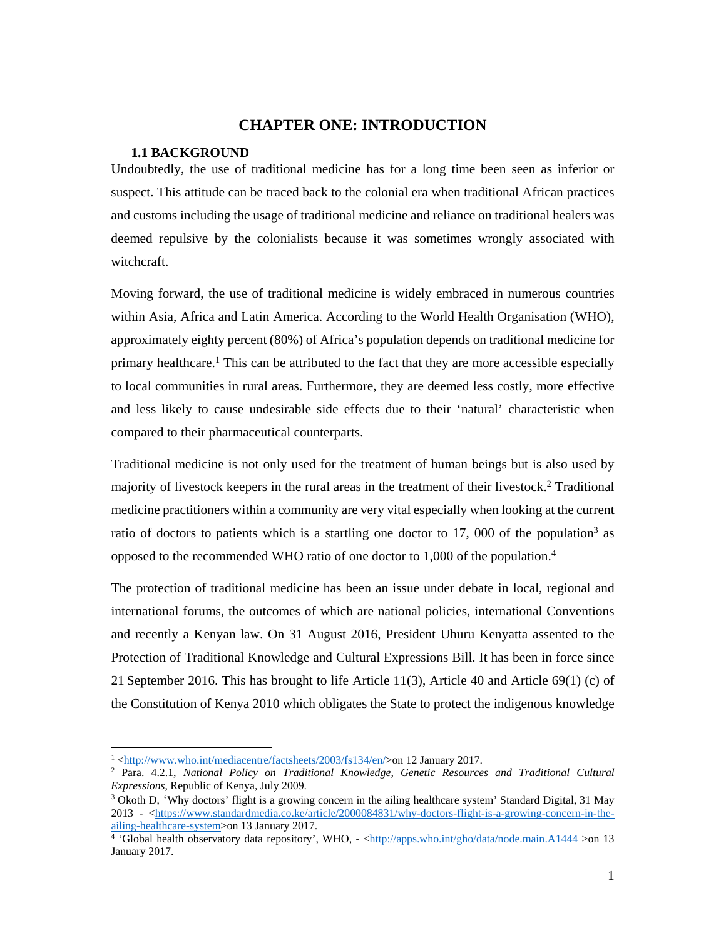# **CHAPTER ONE: INTRODUCTION**

#### **1.1 BACKGROUND**

Undoubtedly, the use of traditional medicine has for a long time been seen as inferior or suspect. This attitude can be traced back to the colonial era when traditional African practices and customs including the usage of traditional medicine and reliance on traditional healers was deemed repulsive by the colonialists because it was sometimes wrongly associated with witchcraft.

Moving forward, the use of traditional medicine is widely embraced in numerous countries within Asia, Africa and Latin America. According to the World Health Organisation (WHO), approximately eighty percent (80%) of Africa's population depends on traditional medicine for primary healthcare.<sup>1</sup> This can be attributed to the fact that they are more accessible especially to local communities in rural areas. Furthermore, they are deemed less costly, more effective and less likely to cause undesirable side effects due to their 'natural' characteristic when compared to their pharmaceutical counterparts.

Traditional medicine is not only used for the treatment of human beings but is also used by majority of livestock keepers in the rural areas in the treatment of their livestock.<sup>2</sup> Traditional medicine practitioners within a community are very vital especially when looking at the current ratio of doctors to patients which is a startling one doctor to 17, 000 of the population<sup>3</sup> as opposed to the recommended WHO ratio of one doctor to 1,000 of the population.4

The protection of traditional medicine has been an issue under debate in local, regional and international forums, the outcomes of which are national policies, international Conventions and recently a Kenyan law. On 31 August 2016, President Uhuru Kenyatta assented to the Protection of Traditional Knowledge and Cultural Expressions Bill. It has been in force since 21 September 2016. This has brought to life Article 11(3), Article 40 and Article 69(1) (c) of the Constitution of Kenya 2010 which obligates the State to protect the indigenous knowledge

 $\frac{1}{2}$   $\frac{\text{http://www.who.int/mediacentre/factsheets/2003/fs134/en/>on 12 January 2017}}{\text{Para } 4.2.1}$  National Policy on Traditional Knowledge, Genetic Resource

Para. 4.2.1, *National Policy on Traditional Knowledge, Genetic Resources and Traditional Cultural Expressions*, Republic of Kenya, July 2009.

<sup>&</sup>lt;sup>3</sup> Okoth D, 'Why doctors' flight is a growing concern in the ailing healthcare system' Standard Digital, 31 May 2013 - <https://www.standardmedia.co.ke/article/2000084831/why-doctors-flight-is-a-growing-concern-in-theailing-healthcare-system>on 13 January 2017. 4

 <sup>&#</sup>x27;Global health observatory data repository', WHO, - <http://apps.who.int/gho/data/node.main.A1444 >on 13 January 2017.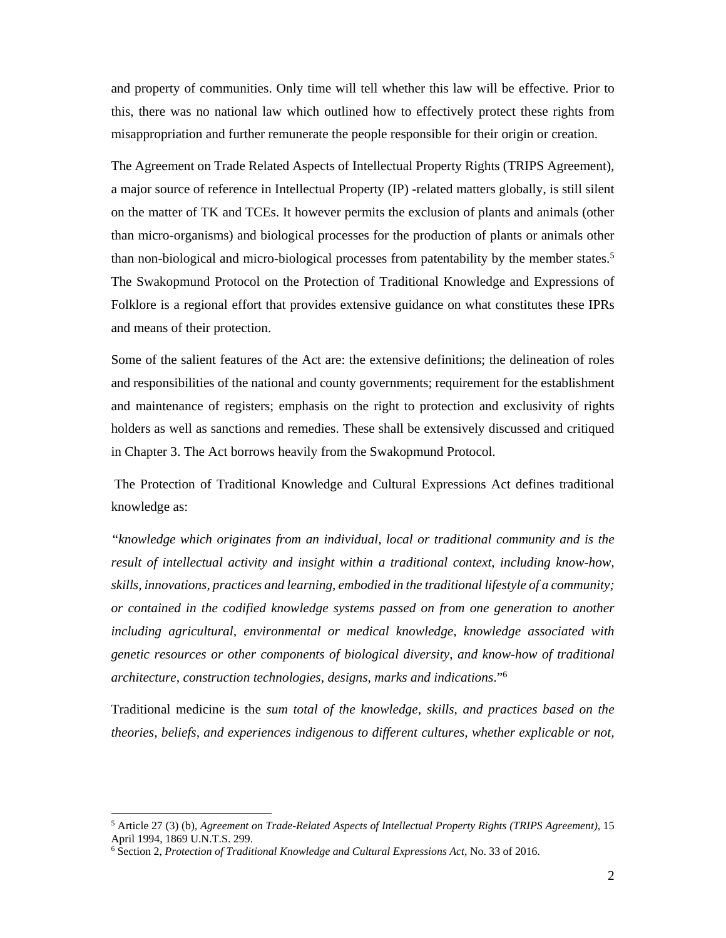and property of communities. Only time will tell whether this law will be effective. Prior to this, there was no national law which outlined how to effectively protect these rights from misappropriation and further remunerate the people responsible for their origin or creation.

The Agreement on Trade Related Aspects of Intellectual Property Rights (TRIPS Agreement), a major source of reference in Intellectual Property (IP) -related matters globally, is still silent on the matter of TK and TCEs. It however permits the exclusion of plants and animals (other than micro-organisms) and biological processes for the production of plants or animals other than non-biological and micro-biological processes from patentability by the member states.<sup>5</sup> The Swakopmund Protocol on the Protection of Traditional Knowledge and Expressions of Folklore is a regional effort that provides extensive guidance on what constitutes these IPRs and means of their protection.

Some of the salient features of the Act are: the extensive definitions; the delineation of roles and responsibilities of the national and county governments; requirement for the establishment and maintenance of registers; emphasis on the right to protection and exclusivity of rights holders as well as sanctions and remedies. These shall be extensively discussed and critiqued in Chapter 3. The Act borrows heavily from the Swakopmund Protocol.

 The Protection of Traditional Knowledge and Cultural Expressions Act defines traditional knowledge as:

*"knowledge which originates from an individual, local or traditional community and is the result of intellectual activity and insight within a traditional context, including know-how, skills, innovations, practices and learning, embodied in the traditional lifestyle of a community; or contained in the codified knowledge systems passed on from one generation to another including agricultural, environmental or medical knowledge, knowledge associated with genetic resources or other components of biological diversity, and know-how of traditional architecture, construction technologies, designs, marks and indications*."6

Traditional medicine is the *sum total of the knowledge, skills, and practices based on the theories, beliefs, and experiences indigenous to different cultures, whether explicable or not,* 

<sup>5</sup> Article 27 (3) (b), *Agreement on Trade-Related Aspects of Intellectual Property Rights (TRIPS Agreement)*, 15 April 1994, 1869 U.N.T.S. 299.

<sup>6</sup> Section 2, *Protection of Traditional Knowledge and Cultural Expressions Act,* No. 33 of 2016.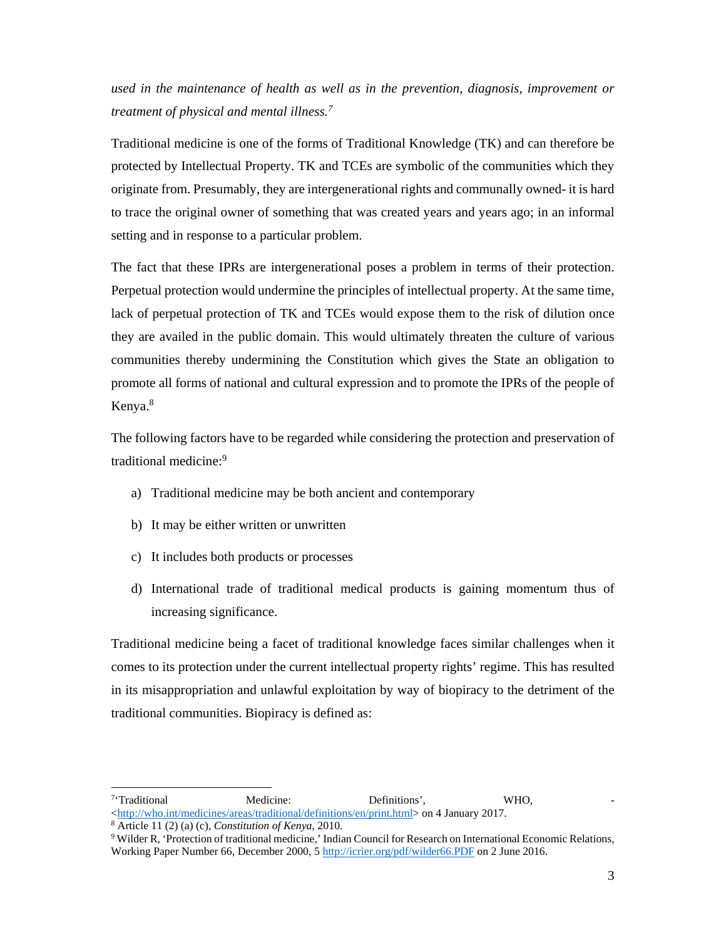*used in the maintenance of health as well as in the prevention, diagnosis, improvement or treatment of physical and mental illness.7*

Traditional medicine is one of the forms of Traditional Knowledge (TK) and can therefore be protected by Intellectual Property. TK and TCEs are symbolic of the communities which they originate from. Presumably, they are intergenerational rights and communally owned- it is hard to trace the original owner of something that was created years and years ago; in an informal setting and in response to a particular problem.

The fact that these IPRs are intergenerational poses a problem in terms of their protection. Perpetual protection would undermine the principles of intellectual property. At the same time, lack of perpetual protection of TK and TCEs would expose them to the risk of dilution once they are availed in the public domain. This would ultimately threaten the culture of various communities thereby undermining the Constitution which gives the State an obligation to promote all forms of national and cultural expression and to promote the IPRs of the people of Kenya.<sup>8</sup>

The following factors have to be regarded while considering the protection and preservation of traditional medicine:9

- a) Traditional medicine may be both ancient and contemporary
- b) It may be either written or unwritten
- c) It includes both products or processes
- d) International trade of traditional medical products is gaining momentum thus of increasing significance.

Traditional medicine being a facet of traditional knowledge faces similar challenges when it comes to its protection under the current intellectual property rights' regime. This has resulted in its misappropriation and unlawful exploitation by way of biopiracy to the detriment of the traditional communities. Biopiracy is defined as:

<sup>&</sup>lt;sup>7</sup>'Traditional Medicine: Definitions', WHO, <http://who.int/medicines/areas/traditional/definitions/en/print.html> on 4 January 2017.

Article 11 (2) (a) (c), *Constitution of Kenya*, 2010. 9

Wilder R, 'Protection of traditional medicine,' Indian Council for Research on International Economic Relations, Working Paper Number 66, December 2000, 5 http://icrier.org/pdf/wilder66.PDF on 2 June 2016.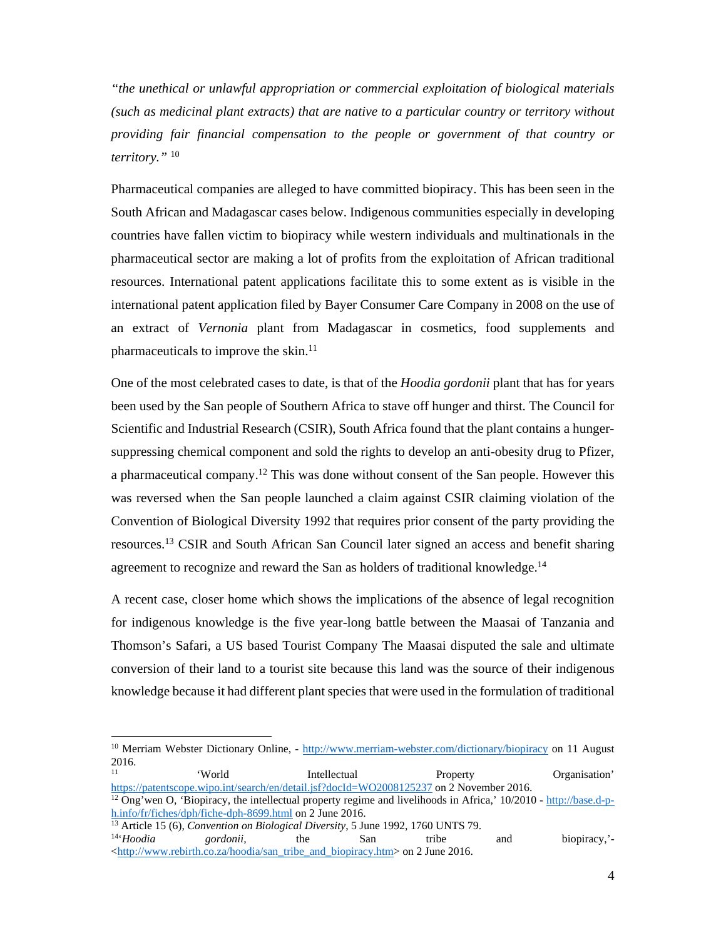*"the unethical or unlawful appropriation or commercial exploitation of biological materials (such as medicinal plant extracts) that are native to a particular country or territory without providing fair financial compensation to the people or government of that country or territory."* <sup>10</sup>

Pharmaceutical companies are alleged to have committed biopiracy. This has been seen in the South African and Madagascar cases below. Indigenous communities especially in developing countries have fallen victim to biopiracy while western individuals and multinationals in the pharmaceutical sector are making a lot of profits from the exploitation of African traditional resources. International patent applications facilitate this to some extent as is visible in the international patent application filed by Bayer Consumer Care Company in 2008 on the use of an extract of *Vernonia* plant from Madagascar in cosmetics, food supplements and pharmaceuticals to improve the skin.<sup>11</sup>

One of the most celebrated cases to date, is that of the *Hoodia gordonii* plant that has for years been used by the San people of Southern Africa to stave off hunger and thirst. The Council for Scientific and Industrial Research (CSIR), South Africa found that the plant contains a hungersuppressing chemical component and sold the rights to develop an anti-obesity drug to Pfizer, a pharmaceutical company.<sup>12</sup> This was done without consent of the San people. However this was reversed when the San people launched a claim against CSIR claiming violation of the Convention of Biological Diversity 1992 that requires prior consent of the party providing the resources.13 CSIR and South African San Council later signed an access and benefit sharing agreement to recognize and reward the San as holders of traditional knowledge.<sup>14</sup>

A recent case, closer home which shows the implications of the absence of legal recognition for indigenous knowledge is the five year-long battle between the Maasai of Tanzania and Thomson's Safari, a US based Tourist Company The Maasai disputed the sale and ultimate conversion of their land to a tourist site because this land was the source of their indigenous knowledge because it had different plant species that were used in the formulation of traditional

11 'World Intellectual Property Organisation' https://patentscope.wipo.int/search/en/detail.jsf?docId=WO2008125237 on 2 November 2016.<br><sup>12</sup> Ong'wen O, 'Biopiracy, the intellectual property regime and livelihoods in Africa,' 10/2010 - http://base.d-p-

<sup>&</sup>lt;sup>10</sup> Merriam Webster Dictionary Online, - http://www.merriam-webster.com/dictionary/biopiracy on 11 August  $2016.$ 

h.info/fr/fiches/dph/fiche-dph-8699.html on 2 June 2016.<br>
<sup>13</sup> Article 15 (6), *Convention on Biological Diversity*, 5 June 1992, 1760 UNTS 79.<br>
<sup>14</sup>*Hoodia gordonii*, the San tribe and biopiracy,'-

<sup>&</sup>lt;http://www.rebirth.co.za/hoodia/san\_tribe\_and\_biopiracy.htm> on 2 June 2016.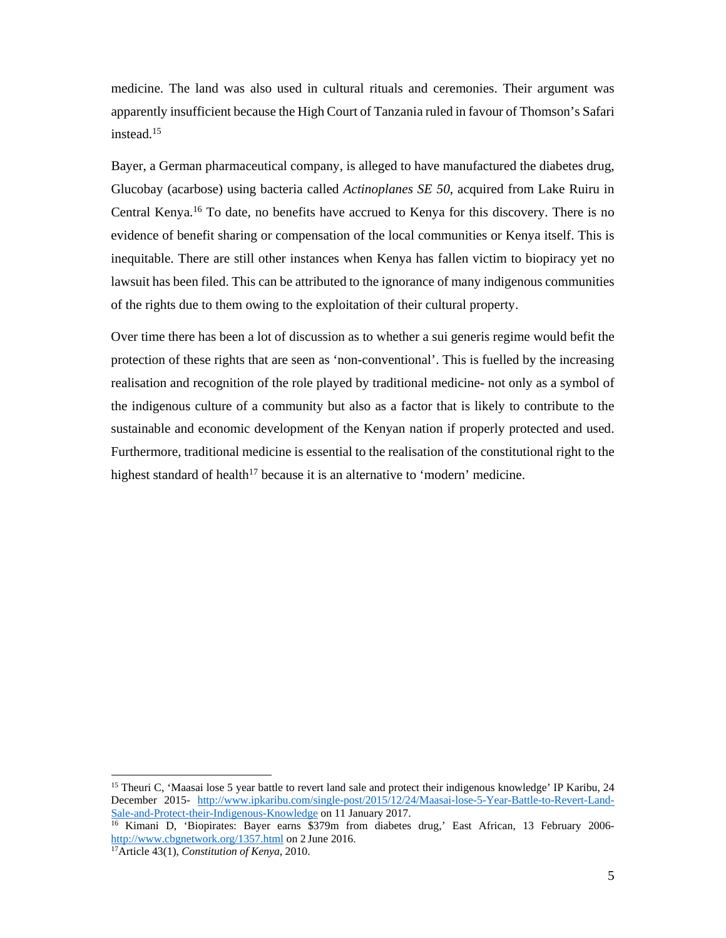medicine. The land was also used in cultural rituals and ceremonies. Their argument was apparently insufficient because the High Court of Tanzania ruled in favour of Thomson's Safari instead.15

Bayer, a German pharmaceutical company, is alleged to have manufactured the diabetes drug, Glucobay (acarbose) using bacteria called *Actinoplanes SE 50*, acquired from Lake Ruiru in Central Kenya.16 To date, no benefits have accrued to Kenya for this discovery. There is no evidence of benefit sharing or compensation of the local communities or Kenya itself. This is inequitable. There are still other instances when Kenya has fallen victim to biopiracy yet no lawsuit has been filed. This can be attributed to the ignorance of many indigenous communities of the rights due to them owing to the exploitation of their cultural property.

Over time there has been a lot of discussion as to whether a sui generis regime would befit the protection of these rights that are seen as 'non-conventional'. This is fuelled by the increasing realisation and recognition of the role played by traditional medicine- not only as a symbol of the indigenous culture of a community but also as a factor that is likely to contribute to the sustainable and economic development of the Kenyan nation if properly protected and used. Furthermore, traditional medicine is essential to the realisation of the constitutional right to the highest standard of health<sup>17</sup> because it is an alternative to 'modern' medicine.

<sup>&</sup>lt;sup>15</sup> Theuri C, 'Maasai lose 5 year battle to revert land sale and protect their indigenous knowledge' IP Karibu, 24 December 2015- http://www.ipkaribu.com/single-post/2015/12/24/Maasai-lose-5-Year-Battle-to-Revert-Land-Sale-and-Protect-their-Indigenous-Knowledge on 11 January 2017.<br><sup>16</sup> Kimani D, 'Biopirates: Bayer earns \$379m from diabetes drug,' East African, 13 February 2006-

http://www.cbgnetwork.org/1357.html on 2 June 2016. 17Article 43(1), *Constitution of Kenya*, 2010.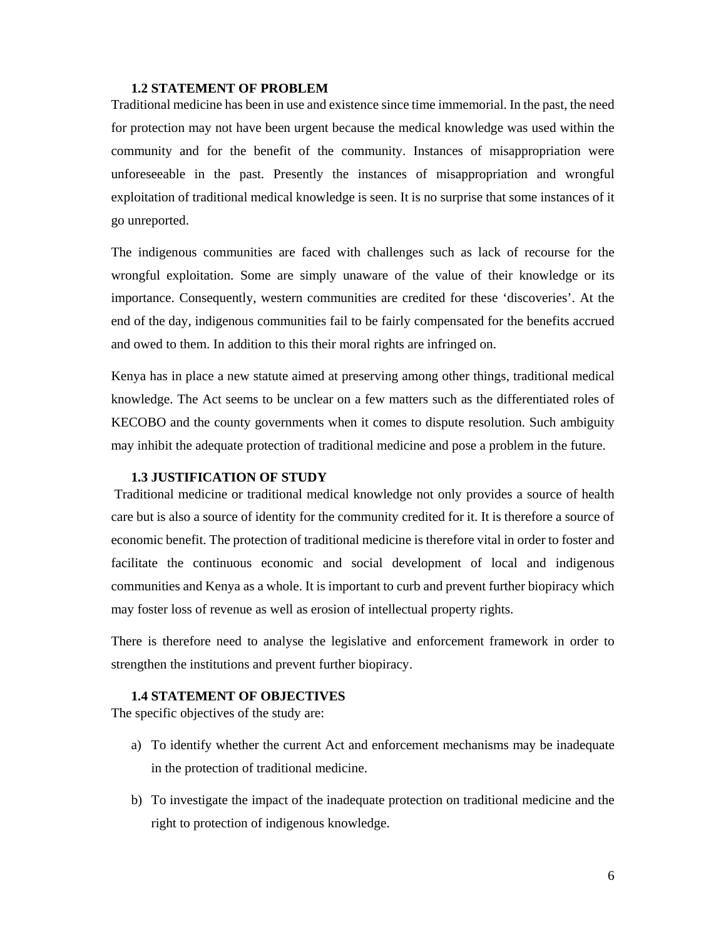#### **1.2 STATEMENT OF PROBLEM**

Traditional medicine has been in use and existence since time immemorial. In the past, the need for protection may not have been urgent because the medical knowledge was used within the community and for the benefit of the community. Instances of misappropriation were unforeseeable in the past. Presently the instances of misappropriation and wrongful exploitation of traditional medical knowledge is seen. It is no surprise that some instances of it go unreported.

The indigenous communities are faced with challenges such as lack of recourse for the wrongful exploitation. Some are simply unaware of the value of their knowledge or its importance. Consequently, western communities are credited for these 'discoveries'. At the end of the day, indigenous communities fail to be fairly compensated for the benefits accrued and owed to them. In addition to this their moral rights are infringed on.

Kenya has in place a new statute aimed at preserving among other things, traditional medical knowledge. The Act seems to be unclear on a few matters such as the differentiated roles of KECOBO and the county governments when it comes to dispute resolution. Such ambiguity may inhibit the adequate protection of traditional medicine and pose a problem in the future.

#### **1.3 JUSTIFICATION OF STUDY**

 Traditional medicine or traditional medical knowledge not only provides a source of health care but is also a source of identity for the community credited for it. It is therefore a source of economic benefit. The protection of traditional medicine is therefore vital in order to foster and facilitate the continuous economic and social development of local and indigenous communities and Kenya as a whole. It is important to curb and prevent further biopiracy which may foster loss of revenue as well as erosion of intellectual property rights.

There is therefore need to analyse the legislative and enforcement framework in order to strengthen the institutions and prevent further biopiracy.

### **1.4 STATEMENT OF OBJECTIVES**

The specific objectives of the study are:

- a) To identify whether the current Act and enforcement mechanisms may be inadequate in the protection of traditional medicine.
- b) To investigate the impact of the inadequate protection on traditional medicine and the right to protection of indigenous knowledge.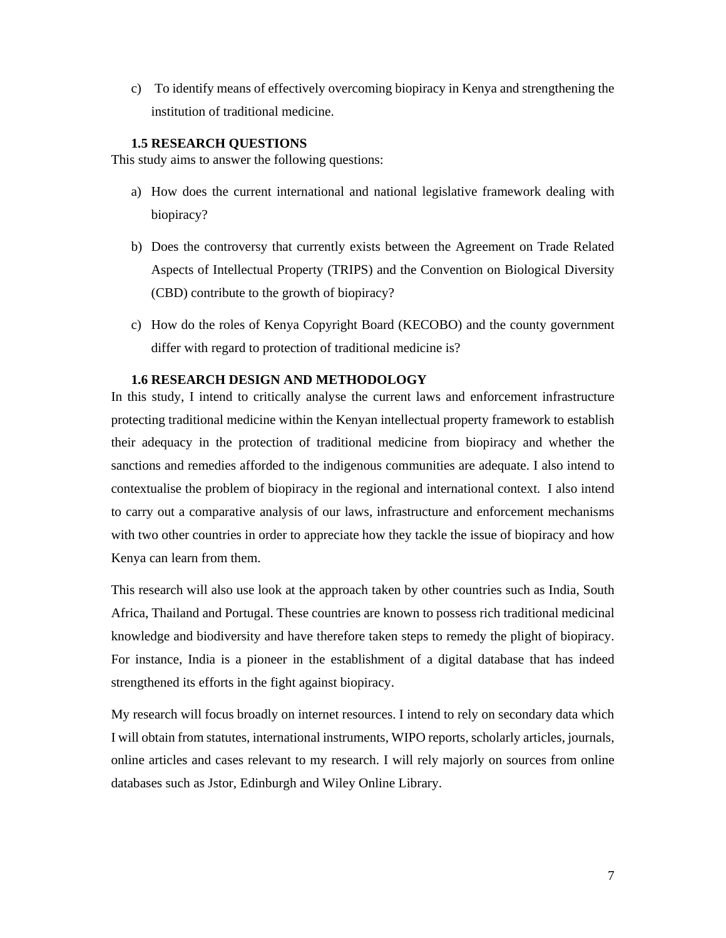c) To identify means of effectively overcoming biopiracy in Kenya and strengthening the institution of traditional medicine.

# **1.5 RESEARCH QUESTIONS**

This study aims to answer the following questions:

- a) How does the current international and national legislative framework dealing with biopiracy?
- b) Does the controversy that currently exists between the Agreement on Trade Related Aspects of Intellectual Property (TRIPS) and the Convention on Biological Diversity (CBD) contribute to the growth of biopiracy?
- c) How do the roles of Kenya Copyright Board (KECOBO) and the county government differ with regard to protection of traditional medicine is?

# **1.6 RESEARCH DESIGN AND METHODOLOGY**

In this study, I intend to critically analyse the current laws and enforcement infrastructure protecting traditional medicine within the Kenyan intellectual property framework to establish their adequacy in the protection of traditional medicine from biopiracy and whether the sanctions and remedies afforded to the indigenous communities are adequate. I also intend to contextualise the problem of biopiracy in the regional and international context. I also intend to carry out a comparative analysis of our laws, infrastructure and enforcement mechanisms with two other countries in order to appreciate how they tackle the issue of biopiracy and how Kenya can learn from them.

This research will also use look at the approach taken by other countries such as India, South Africa, Thailand and Portugal. These countries are known to possess rich traditional medicinal knowledge and biodiversity and have therefore taken steps to remedy the plight of biopiracy. For instance, India is a pioneer in the establishment of a digital database that has indeed strengthened its efforts in the fight against biopiracy.

My research will focus broadly on internet resources. I intend to rely on secondary data which I will obtain from statutes, international instruments, WIPO reports, scholarly articles, journals, online articles and cases relevant to my research. I will rely majorly on sources from online databases such as Jstor, Edinburgh and Wiley Online Library.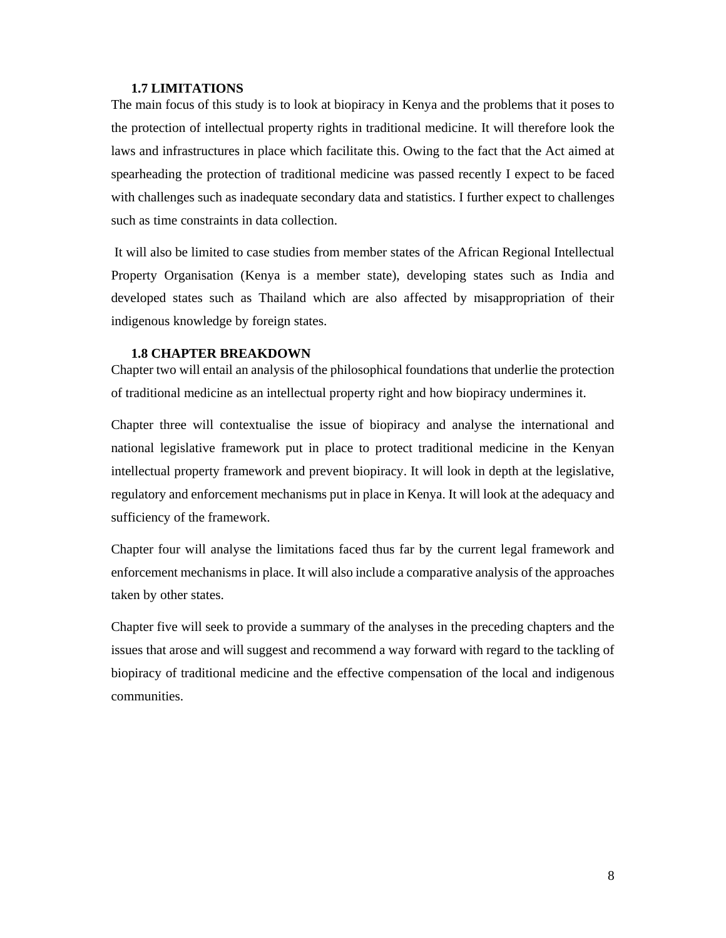### **1.7 LIMITATIONS**

The main focus of this study is to look at biopiracy in Kenya and the problems that it poses to the protection of intellectual property rights in traditional medicine. It will therefore look the laws and infrastructures in place which facilitate this. Owing to the fact that the Act aimed at spearheading the protection of traditional medicine was passed recently I expect to be faced with challenges such as inadequate secondary data and statistics. I further expect to challenges such as time constraints in data collection.

 It will also be limited to case studies from member states of the African Regional Intellectual Property Organisation (Kenya is a member state), developing states such as India and developed states such as Thailand which are also affected by misappropriation of their indigenous knowledge by foreign states.

#### **1.8 CHAPTER BREAKDOWN**

Chapter two will entail an analysis of the philosophical foundations that underlie the protection of traditional medicine as an intellectual property right and how biopiracy undermines it.

Chapter three will contextualise the issue of biopiracy and analyse the international and national legislative framework put in place to protect traditional medicine in the Kenyan intellectual property framework and prevent biopiracy. It will look in depth at the legislative, regulatory and enforcement mechanisms put in place in Kenya. It will look at the adequacy and sufficiency of the framework.

Chapter four will analyse the limitations faced thus far by the current legal framework and enforcement mechanisms in place. It will also include a comparative analysis of the approaches taken by other states.

Chapter five will seek to provide a summary of the analyses in the preceding chapters and the issues that arose and will suggest and recommend a way forward with regard to the tackling of biopiracy of traditional medicine and the effective compensation of the local and indigenous communities.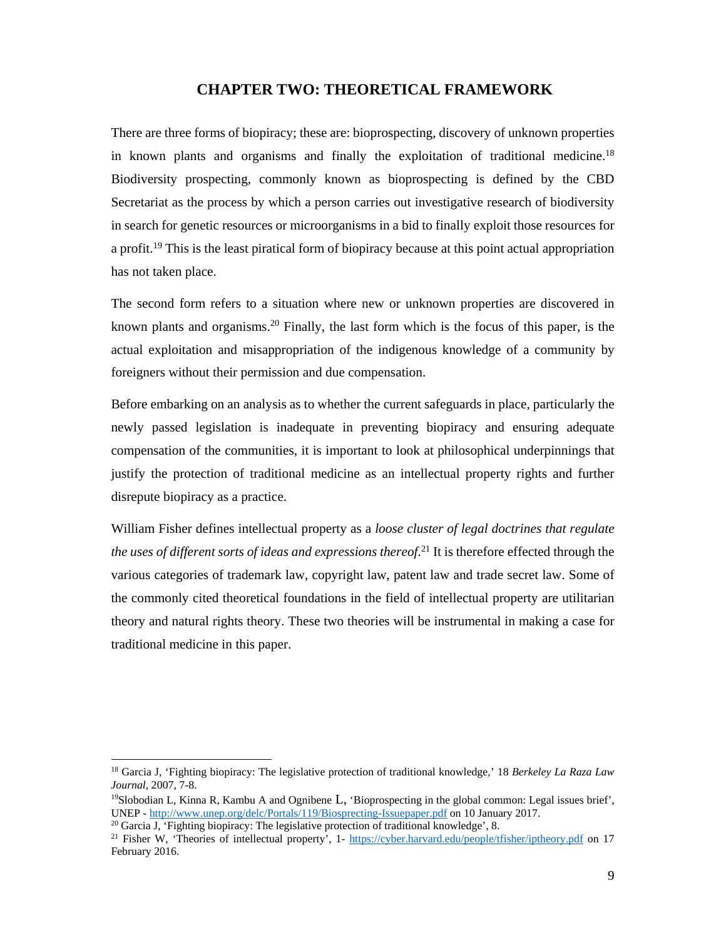# **CHAPTER TWO: THEORETICAL FRAMEWORK**

There are three forms of biopiracy; these are: bioprospecting, discovery of unknown properties in known plants and organisms and finally the exploitation of traditional medicine.<sup>18</sup> Biodiversity prospecting, commonly known as bioprospecting is defined by the CBD Secretariat as the process by which a person carries out investigative research of biodiversity in search for genetic resources or microorganisms in a bid to finally exploit those resources for a profit.<sup>19</sup> This is the least piratical form of biopiracy because at this point actual appropriation has not taken place.

The second form refers to a situation where new or unknown properties are discovered in known plants and organisms.20 Finally, the last form which is the focus of this paper, is the actual exploitation and misappropriation of the indigenous knowledge of a community by foreigners without their permission and due compensation.

Before embarking on an analysis as to whether the current safeguards in place, particularly the newly passed legislation is inadequate in preventing biopiracy and ensuring adequate compensation of the communities, it is important to look at philosophical underpinnings that justify the protection of traditional medicine as an intellectual property rights and further disrepute biopiracy as a practice.

William Fisher defines intellectual property as a *loose cluster of legal doctrines that regulate the uses of different sorts of ideas and expressions thereof*. 21 It is therefore effected through the various categories of trademark law, copyright law, patent law and trade secret law. Some of the commonly cited theoretical foundations in the field of intellectual property are utilitarian theory and natural rights theory. These two theories will be instrumental in making a case for traditional medicine in this paper.

<sup>18</sup> Garcia J, 'Fighting biopiracy: The legislative protection of traditional knowledge,' 18 *Berkeley La Raza Law Journal*, 2007, 7-8.<br><sup>19</sup>Slobodian L, Kinna R, Kambu A and Ognibene L, 'Bioprospecting in the global common: Legal issues brief',

UNEP - http://www.unep.org/delc/Portals/119/Biosprecting-Issuepaper.pdf on 10 January 2017.<br><sup>20</sup> Garcia J, 'Fighting biopiracy: The legislative protection of traditional knowledge', 8.<br><sup>21</sup> Fisher W, 'Theories of intellec

February 2016.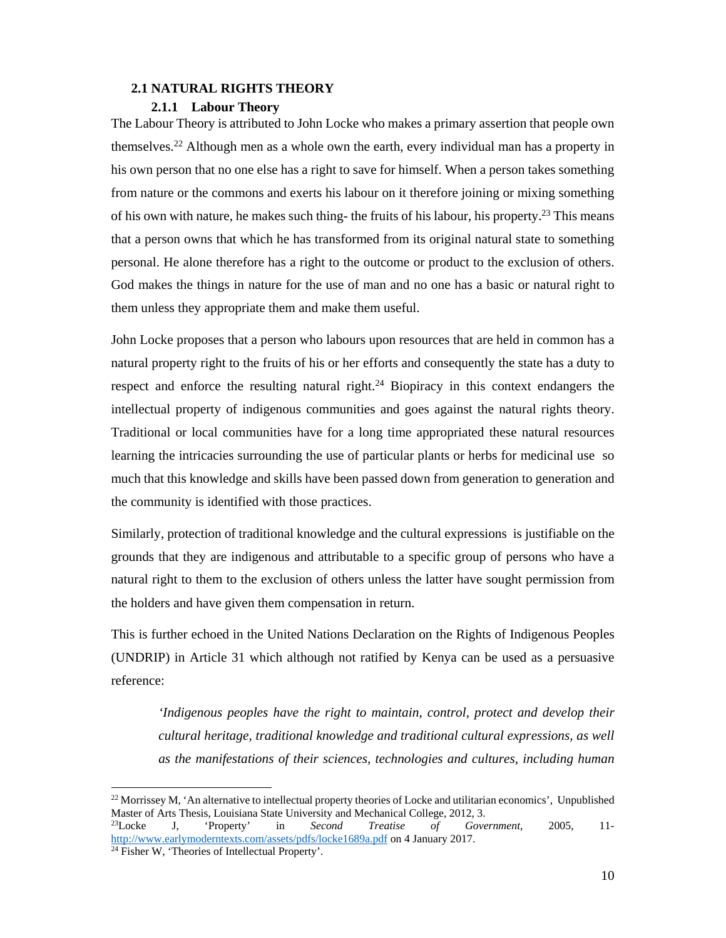#### **2.1 NATURAL RIGHTS THEORY**

#### **2.1.1 Labour Theory**

The Labour Theory is attributed to John Locke who makes a primary assertion that people own themselves.<sup>22</sup> Although men as a whole own the earth, every individual man has a property in his own person that no one else has a right to save for himself. When a person takes something from nature or the commons and exerts his labour on it therefore joining or mixing something of his own with nature, he makes such thing- the fruits of his labour, his property.23 This means that a person owns that which he has transformed from its original natural state to something personal. He alone therefore has a right to the outcome or product to the exclusion of others. God makes the things in nature for the use of man and no one has a basic or natural right to them unless they appropriate them and make them useful.

John Locke proposes that a person who labours upon resources that are held in common has a natural property right to the fruits of his or her efforts and consequently the state has a duty to respect and enforce the resulting natural right.<sup>24</sup> Biopiracy in this context endangers the intellectual property of indigenous communities and goes against the natural rights theory. Traditional or local communities have for a long time appropriated these natural resources learning the intricacies surrounding the use of particular plants or herbs for medicinal use so much that this knowledge and skills have been passed down from generation to generation and the community is identified with those practices.

Similarly, protection of traditional knowledge and the cultural expressions is justifiable on the grounds that they are indigenous and attributable to a specific group of persons who have a natural right to them to the exclusion of others unless the latter have sought permission from the holders and have given them compensation in return.

This is further echoed in the United Nations Declaration on the Rights of Indigenous Peoples (UNDRIP) in Article 31 which although not ratified by Kenya can be used as a persuasive reference:

*'Indigenous peoples have the right to maintain, control, protect and develop their cultural heritage, traditional knowledge and traditional cultural expressions, as well as the manifestations of their sciences, technologies and cultures, including human* 

 $^{22}$  Morrissey M, 'An alternative to intellectual property theories of Locke and utilitarian economics', Unpublished Master of Arts Thesis, Louisiana State University and Mechanical College, 2012, 3.<br><sup>23</sup>Locke J, 'Property' in Second Treatise of Gove

<sup>23</sup>Locke J, 'Property' in *Second Treatise of Government*, 2005, 11 http://www.earlymoderntexts.com/assets/pdfs/locke1689a.pdf on 4 January 2017. 24 Fisher W, 'Theories of Intellectual Property'.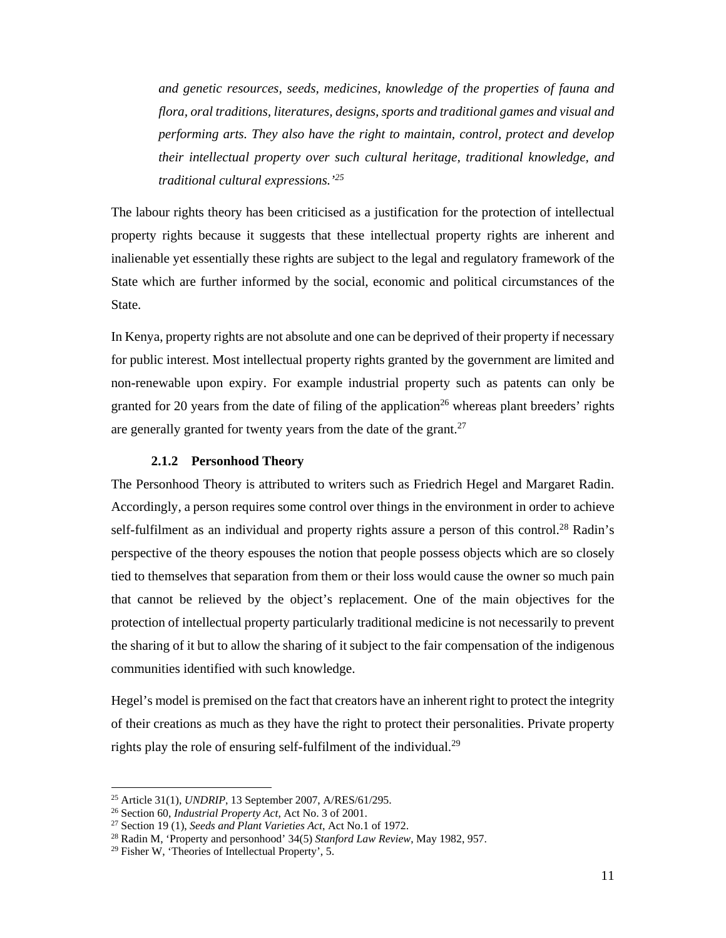*and genetic resources, seeds, medicines, knowledge of the properties of fauna and flora, oral traditions, literatures, designs, sports and traditional games and visual and performing arts. They also have the right to maintain, control, protect and develop their intellectual property over such cultural heritage, traditional knowledge, and traditional cultural expressions.'25*

The labour rights theory has been criticised as a justification for the protection of intellectual property rights because it suggests that these intellectual property rights are inherent and inalienable yet essentially these rights are subject to the legal and regulatory framework of the State which are further informed by the social, economic and political circumstances of the State.

In Kenya, property rights are not absolute and one can be deprived of their property if necessary for public interest. Most intellectual property rights granted by the government are limited and non-renewable upon expiry. For example industrial property such as patents can only be granted for 20 years from the date of filing of the application<sup>26</sup> whereas plant breeders' rights are generally granted for twenty years from the date of the grant.<sup>27</sup>

#### **2.1.2 Personhood Theory**

The Personhood Theory is attributed to writers such as Friedrich Hegel and Margaret Radin. Accordingly, a person requires some control over things in the environment in order to achieve self-fulfilment as an individual and property rights assure a person of this control.<sup>28</sup> Radin's perspective of the theory espouses the notion that people possess objects which are so closely tied to themselves that separation from them or their loss would cause the owner so much pain that cannot be relieved by the object's replacement. One of the main objectives for the protection of intellectual property particularly traditional medicine is not necessarily to prevent the sharing of it but to allow the sharing of it subject to the fair compensation of the indigenous communities identified with such knowledge.

Hegel's model is premised on the fact that creators have an inherent right to protect the integrity of their creations as much as they have the right to protect their personalities. Private property rights play the role of ensuring self-fulfilment of the individual.<sup>29</sup>

<sup>&</sup>lt;sup>25</sup> Article 31(1), *UNDRIP*, 13 September 2007, A/RES/61/295.<br><sup>26</sup> Section 60, *Industrial Property Act*, Act No. 3 of 2001.<br><sup>27</sup> Section 19 (1), *Seeds and Plant Varieties Act*, Act No.1 of 1972.<br><sup>28</sup> Radin M, 'Property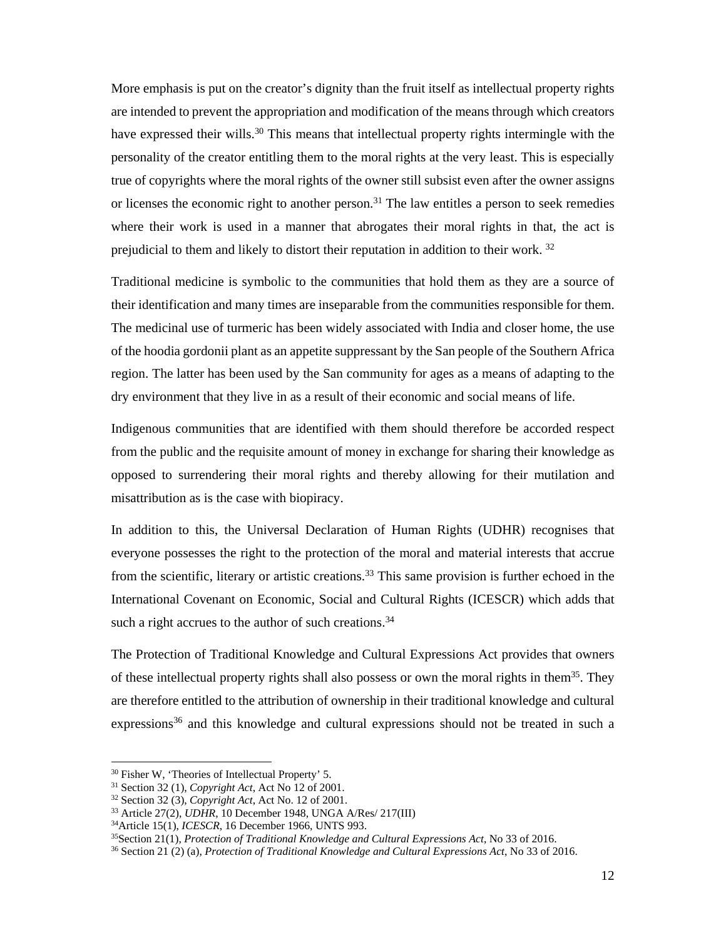More emphasis is put on the creator's dignity than the fruit itself as intellectual property rights are intended to prevent the appropriation and modification of the means through which creators have expressed their wills.<sup>30</sup> This means that intellectual property rights intermingle with the personality of the creator entitling them to the moral rights at the very least. This is especially true of copyrights where the moral rights of the owner still subsist even after the owner assigns or licenses the economic right to another person.<sup>31</sup> The law entitles a person to seek remedies where their work is used in a manner that abrogates their moral rights in that, the act is prejudicial to them and likely to distort their reputation in addition to their work. 32

Traditional medicine is symbolic to the communities that hold them as they are a source of their identification and many times are inseparable from the communities responsible for them. The medicinal use of turmeric has been widely associated with India and closer home, the use of the hoodia gordonii plant as an appetite suppressant by the San people of the Southern Africa region. The latter has been used by the San community for ages as a means of adapting to the dry environment that they live in as a result of their economic and social means of life.

Indigenous communities that are identified with them should therefore be accorded respect from the public and the requisite amount of money in exchange for sharing their knowledge as opposed to surrendering their moral rights and thereby allowing for their mutilation and misattribution as is the case with biopiracy.

In addition to this, the Universal Declaration of Human Rights (UDHR) recognises that everyone possesses the right to the protection of the moral and material interests that accrue from the scientific, literary or artistic creations.<sup>33</sup> This same provision is further echoed in the International Covenant on Economic, Social and Cultural Rights (ICESCR) which adds that such a right accrues to the author of such creations.<sup>34</sup>

The Protection of Traditional Knowledge and Cultural Expressions Act provides that owners of these intellectual property rights shall also possess or own the moral rights in them<sup>35</sup>. They are therefore entitled to the attribution of ownership in their traditional knowledge and cultural expressions<sup>36</sup> and this knowledge and cultural expressions should not be treated in such a

<sup>&</sup>lt;sup>30</sup> Fisher W, 'Theories of Intellectual Property' 5.<br><sup>31</sup> Section 32 (1), *Copyright Act*, Act No 12 of 2001.

<sup>&</sup>lt;sup>32</sup> Section 32 (3), *Copyright Act*, Act No. 12 of 2001.<br><sup>33</sup> Article 27(2), *UDHR*, 10 December 1948, UNGA A/Res/ 217(III)<br><sup>34</sup> Article 15(1), *ICESCR*, 16 December 1966, UNTS 993.<br><sup>35</sup> Section 21(1), *Protection of Tra*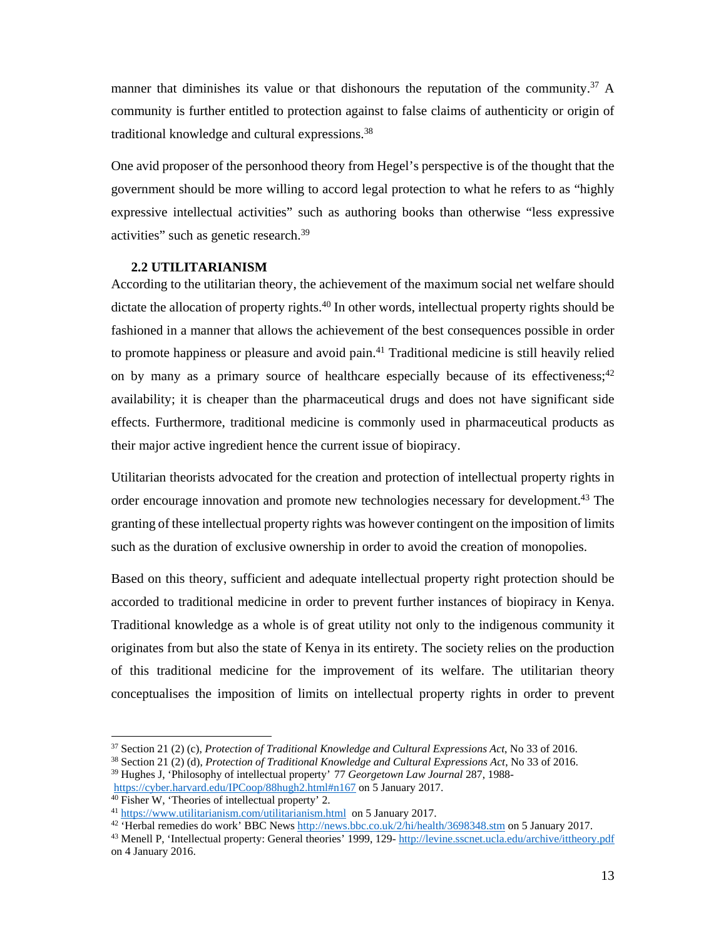manner that diminishes its value or that dishonours the reputation of the community.<sup>37</sup> A community is further entitled to protection against to false claims of authenticity or origin of traditional knowledge and cultural expressions.38

One avid proposer of the personhood theory from Hegel's perspective is of the thought that the government should be more willing to accord legal protection to what he refers to as "highly expressive intellectual activities" such as authoring books than otherwise "less expressive activities" such as genetic research.39

#### **2.2 UTILITARIANISM**

According to the utilitarian theory, the achievement of the maximum social net welfare should dictate the allocation of property rights.<sup>40</sup> In other words, intellectual property rights should be fashioned in a manner that allows the achievement of the best consequences possible in order to promote happiness or pleasure and avoid pain.41 Traditional medicine is still heavily relied on by many as a primary source of healthcare especially because of its effectiveness;<sup>42</sup> availability; it is cheaper than the pharmaceutical drugs and does not have significant side effects. Furthermore, traditional medicine is commonly used in pharmaceutical products as their major active ingredient hence the current issue of biopiracy.

Utilitarian theorists advocated for the creation and protection of intellectual property rights in order encourage innovation and promote new technologies necessary for development.<sup>43</sup> The granting of these intellectual property rights was however contingent on the imposition of limits such as the duration of exclusive ownership in order to avoid the creation of monopolies.

Based on this theory, sufficient and adequate intellectual property right protection should be accorded to traditional medicine in order to prevent further instances of biopiracy in Kenya. Traditional knowledge as a whole is of great utility not only to the indigenous community it originates from but also the state of Kenya in its entirety. The society relies on the production of this traditional medicine for the improvement of its welfare. The utilitarian theory conceptualises the imposition of limits on intellectual property rights in order to prevent

-

<sup>42</sup> 'Herbal remedies do work' BBC News http://news.bbc.co.uk/2/hi/health/3698348.stm on 5 January 2017.<br><sup>43</sup> Menell P, 'Intellectual property: General theories' 1999, 129- http://levine.sscnet.ucla.edu/archive/ittheory.p

<sup>&</sup>lt;sup>37</sup> Section 21 (2) (c), *Protection of Traditional Knowledge and Cultural Expressions Act*, No 33 of 2016.<br><sup>38</sup> Section 21 (2) (d), *Protection of Traditional Knowledge and Cultural Expressions Act*, No 33 of 2016.

<sup>&</sup>lt;sup>39</sup> Hughes J, 'Philosophy of intellectual property' 77 *Georgetown Law Journal* 287, 1988-<br>https://cyber.harvard.edu/IPCoop/88hugh2.html#n167 on 5 January 2017.<br><sup>40</sup> Fisher W, 'Theories of intellectual property' 2.<br><sup>41</sup>

on 4 January 2016.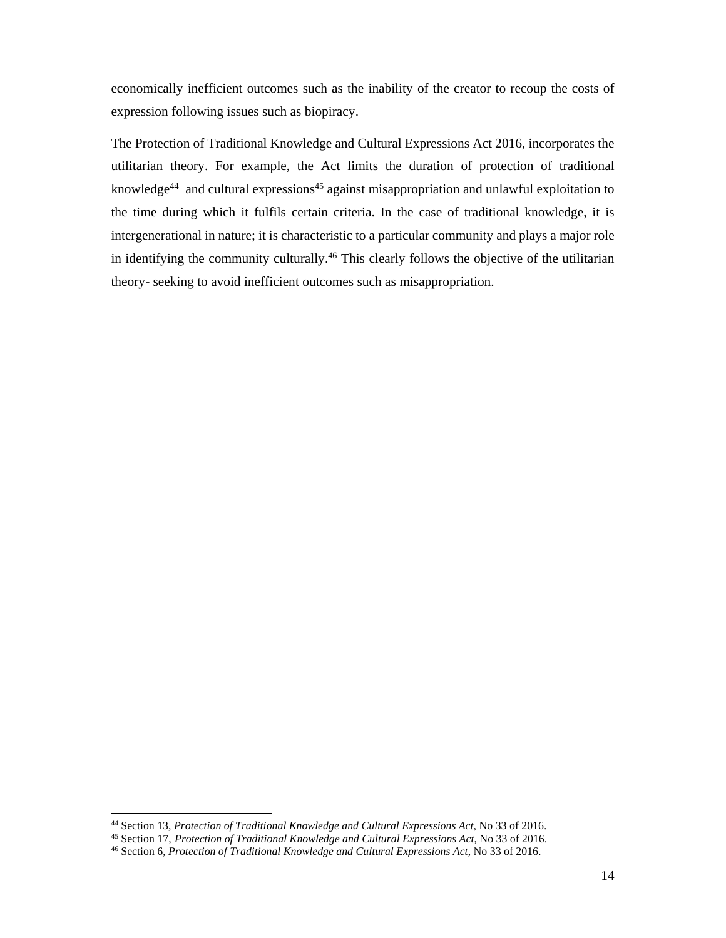economically inefficient outcomes such as the inability of the creator to recoup the costs of expression following issues such as biopiracy.

The Protection of Traditional Knowledge and Cultural Expressions Act 2016, incorporates the utilitarian theory. For example, the Act limits the duration of protection of traditional knowledge<sup>44</sup> and cultural expressions<sup>45</sup> against misappropriation and unlawful exploitation to the time during which it fulfils certain criteria. In the case of traditional knowledge, it is intergenerational in nature; it is characteristic to a particular community and plays a major role in identifying the community culturally.<sup>46</sup> This clearly follows the objective of the utilitarian theory- seeking to avoid inefficient outcomes such as misappropriation.

<sup>&</sup>lt;sup>44</sup> Section 13, *Protection of Traditional Knowledge and Cultural Expressions Act*, No 33 of 2016.<br><sup>45</sup> Section 17, *Protection of Traditional Knowledge and Cultural Expressions Act*, No 33 of 2016.<br><sup>46</sup> Section 6, *Prot*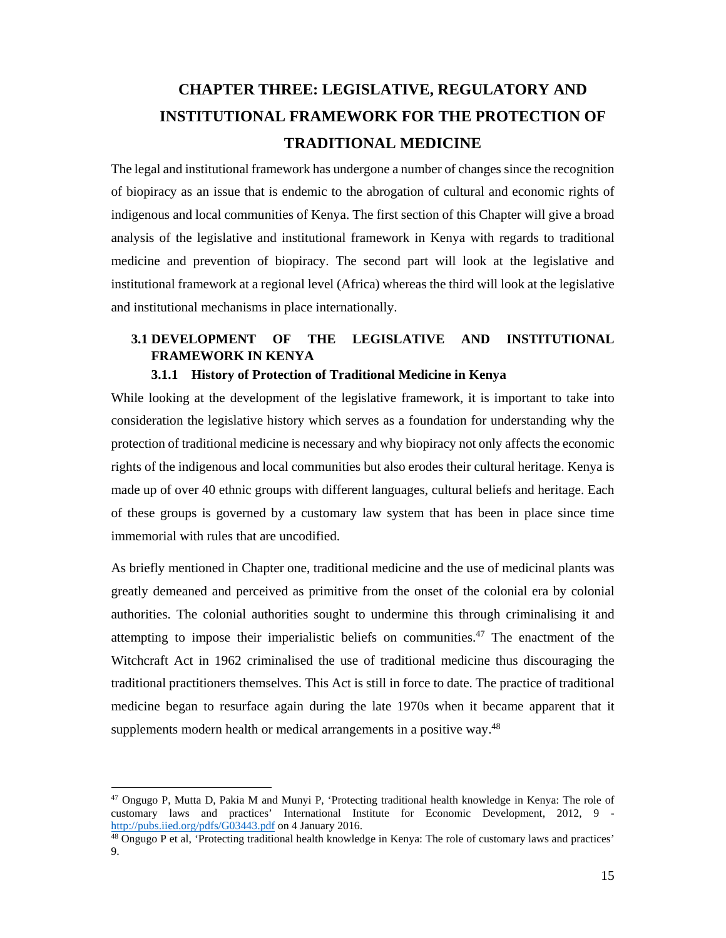# **CHAPTER THREE: LEGISLATIVE, REGULATORY AND INSTITUTIONAL FRAMEWORK FOR THE PROTECTION OF TRADITIONAL MEDICINE**

The legal and institutional framework has undergone a number of changes since the recognition of biopiracy as an issue that is endemic to the abrogation of cultural and economic rights of indigenous and local communities of Kenya. The first section of this Chapter will give a broad analysis of the legislative and institutional framework in Kenya with regards to traditional medicine and prevention of biopiracy. The second part will look at the legislative and institutional framework at a regional level (Africa) whereas the third will look at the legislative and institutional mechanisms in place internationally.

# **3.1 DEVELOPMENT OF THE LEGISLATIVE AND INSTITUTIONAL FRAMEWORK IN KENYA**

# **3.1.1 History of Protection of Traditional Medicine in Kenya**

While looking at the development of the legislative framework, it is important to take into consideration the legislative history which serves as a foundation for understanding why the protection of traditional medicine is necessary and why biopiracy not only affects the economic rights of the indigenous and local communities but also erodes their cultural heritage. Kenya is made up of over 40 ethnic groups with different languages, cultural beliefs and heritage. Each of these groups is governed by a customary law system that has been in place since time immemorial with rules that are uncodified.

As briefly mentioned in Chapter one, traditional medicine and the use of medicinal plants was greatly demeaned and perceived as primitive from the onset of the colonial era by colonial authorities. The colonial authorities sought to undermine this through criminalising it and attempting to impose their imperialistic beliefs on communities.<sup>47</sup> The enactment of the Witchcraft Act in 1962 criminalised the use of traditional medicine thus discouraging the traditional practitioners themselves. This Act is still in force to date. The practice of traditional medicine began to resurface again during the late 1970s when it became apparent that it supplements modern health or medical arrangements in a positive way.<sup>48</sup>

<sup>-</sup>47 Ongugo P, Mutta D, Pakia M and Munyi P, 'Protecting traditional health knowledge in Kenya: The role of customary laws and practices' International Institute for Economic Development, 2012, 9 - http://pubs.iied.org/pdfs/G03443.pdf on 4 January 2016.

 $48$  Ongugo P et al, 'Protecting traditional health knowledge in Kenya: The role of customary laws and practices' 9.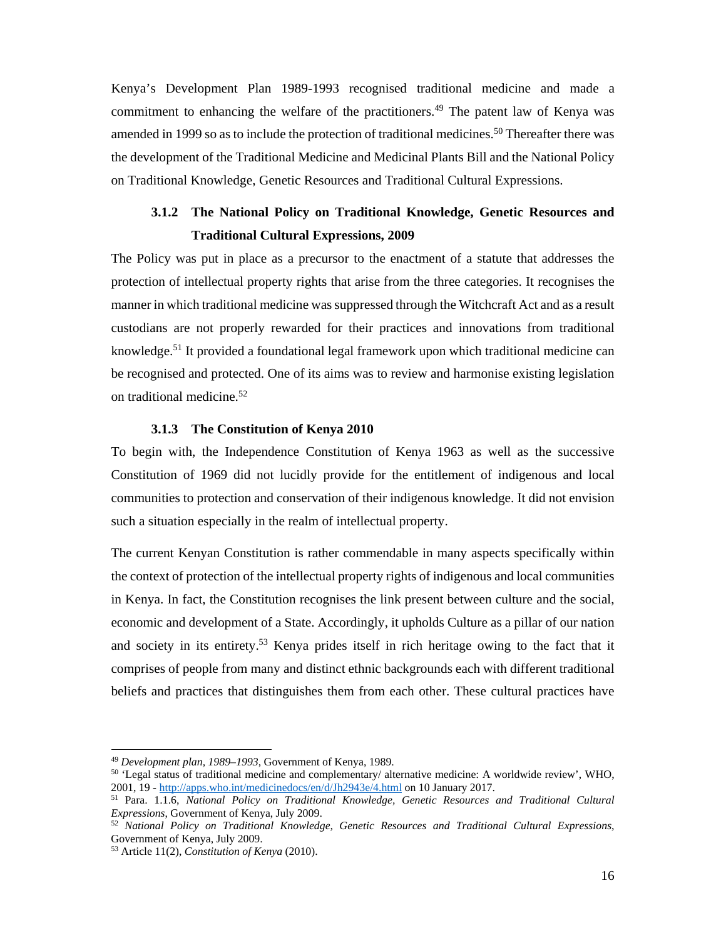Kenya's Development Plan 1989-1993 recognised traditional medicine and made a commitment to enhancing the welfare of the practitioners.<sup>49</sup> The patent law of Kenya was amended in 1999 so as to include the protection of traditional medicines.<sup>50</sup> Thereafter there was the development of the Traditional Medicine and Medicinal Plants Bill and the National Policy on Traditional Knowledge, Genetic Resources and Traditional Cultural Expressions.

# **3.1.2 The National Policy on Traditional Knowledge, Genetic Resources and Traditional Cultural Expressions, 2009**

The Policy was put in place as a precursor to the enactment of a statute that addresses the protection of intellectual property rights that arise from the three categories. It recognises the manner in which traditional medicine was suppressed through the Witchcraft Act and as a result custodians are not properly rewarded for their practices and innovations from traditional knowledge.<sup>51</sup> It provided a foundational legal framework upon which traditional medicine can be recognised and protected. One of its aims was to review and harmonise existing legislation on traditional medicine.52

## **3.1.3 The Constitution of Kenya 2010**

To begin with, the Independence Constitution of Kenya 1963 as well as the successive Constitution of 1969 did not lucidly provide for the entitlement of indigenous and local communities to protection and conservation of their indigenous knowledge. It did not envision such a situation especially in the realm of intellectual property.

The current Kenyan Constitution is rather commendable in many aspects specifically within the context of protection of the intellectual property rights of indigenous and local communities in Kenya. In fact, the Constitution recognises the link present between culture and the social, economic and development of a State. Accordingly, it upholds Culture as a pillar of our nation and society in its entirety.<sup>53</sup> Kenya prides itself in rich heritage owing to the fact that it comprises of people from many and distinct ethnic backgrounds each with different traditional beliefs and practices that distinguishes them from each other. These cultural practices have

<sup>&</sup>lt;sup>49</sup> *Development plan, 1989–1993*, Government of Kenya, 1989.<br><sup>50</sup> 'Legal status of traditional medicine and complementary/ alternative medicine: A worldwide review', WHO, 2001, 19 - http://apps.who.int/medicinedocs/en/d/Jh2943e/4.html on 10 January 2017. 51 Para. 1.1.6, *National Policy on Traditional Knowledge, Genetic Resources and Traditional Cultural* 

*Expressions*, Government of Kenya, July 2009.<br><sup>52</sup> *National Policy on Traditional Knowledge, Genetic Resources and Traditional Cultural Expressions*,

Government of Kenya, July 2009.

<sup>53</sup> Article 11(2), *Constitution of Kenya* (2010).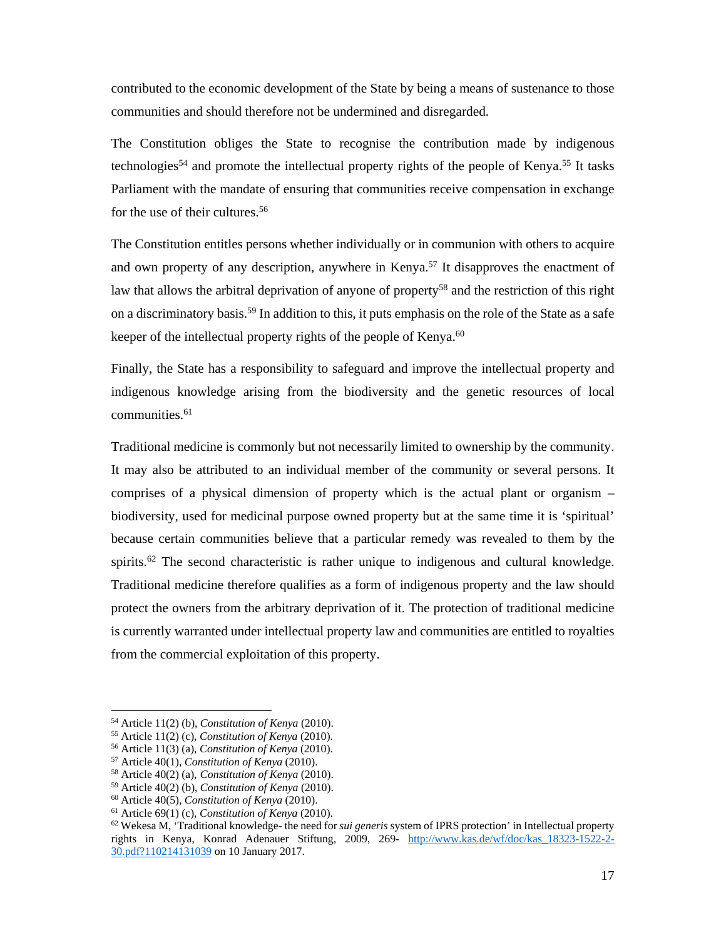contributed to the economic development of the State by being a means of sustenance to those communities and should therefore not be undermined and disregarded.

The Constitution obliges the State to recognise the contribution made by indigenous technologies<sup>54</sup> and promote the intellectual property rights of the people of Kenya.<sup>55</sup> It tasks Parliament with the mandate of ensuring that communities receive compensation in exchange for the use of their cultures.<sup>56</sup>

The Constitution entitles persons whether individually or in communion with others to acquire and own property of any description, anywhere in Kenya.<sup>57</sup> It disapproves the enactment of law that allows the arbitral deprivation of anyone of property<sup>58</sup> and the restriction of this right on a discriminatory basis.<sup>59</sup> In addition to this, it puts emphasis on the role of the State as a safe keeper of the intellectual property rights of the people of Kenya.<sup>60</sup>

Finally, the State has a responsibility to safeguard and improve the intellectual property and indigenous knowledge arising from the biodiversity and the genetic resources of local  $commu nities.<sup>61</sup>$ 

Traditional medicine is commonly but not necessarily limited to ownership by the community. It may also be attributed to an individual member of the community or several persons. It comprises of a physical dimension of property which is the actual plant or organism – biodiversity, used for medicinal purpose owned property but at the same time it is 'spiritual' because certain communities believe that a particular remedy was revealed to them by the spirits.<sup>62</sup> The second characteristic is rather unique to indigenous and cultural knowledge. Traditional medicine therefore qualifies as a form of indigenous property and the law should protect the owners from the arbitrary deprivation of it. The protection of traditional medicine is currently warranted under intellectual property law and communities are entitled to royalties from the commercial exploitation of this property.

 $54$  Article 11(2) (b), Constitution of Kenya (2010).

<sup>&</sup>lt;sup>55</sup> Article 11(2) (c), *Constitution of Kenya* (2010).<br><sup>56</sup> Article 11(3) (a), *Constitution of Kenya* (2010).<br><sup>57</sup> Article 40(1), *Constitution of Kenya* (2010).<br><sup>59</sup> Article 40(2) (a), *Constitution of Kenya* (2010).<br><sup></sup> rights in Kenya, Konrad Adenauer Stiftung, 2009, 269- http://www.kas.de/wf/doc/kas\_18323-1522-2- 30.pdf?110214131039 on 10 January 2017.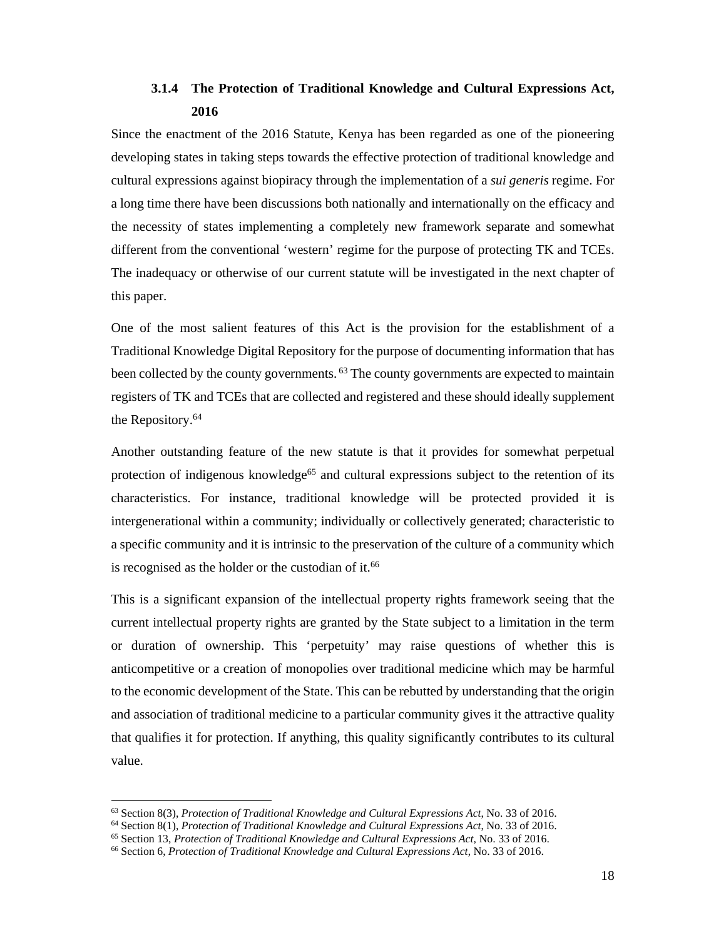# **3.1.4 The Protection of Traditional Knowledge and Cultural Expressions Act, 2016**

Since the enactment of the 2016 Statute, Kenya has been regarded as one of the pioneering developing states in taking steps towards the effective protection of traditional knowledge and cultural expressions against biopiracy through the implementation of a *sui generis* regime. For a long time there have been discussions both nationally and internationally on the efficacy and the necessity of states implementing a completely new framework separate and somewhat different from the conventional 'western' regime for the purpose of protecting TK and TCEs. The inadequacy or otherwise of our current statute will be investigated in the next chapter of this paper.

One of the most salient features of this Act is the provision for the establishment of a Traditional Knowledge Digital Repository for the purpose of documenting information that has been collected by the county governments. <sup>63</sup> The county governments are expected to maintain registers of TK and TCEs that are collected and registered and these should ideally supplement the Repository.64

Another outstanding feature of the new statute is that it provides for somewhat perpetual protection of indigenous knowledge<sup>65</sup> and cultural expressions subject to the retention of its characteristics. For instance, traditional knowledge will be protected provided it is intergenerational within a community; individually or collectively generated; characteristic to a specific community and it is intrinsic to the preservation of the culture of a community which is recognised as the holder or the custodian of it.<sup>66</sup>

This is a significant expansion of the intellectual property rights framework seeing that the current intellectual property rights are granted by the State subject to a limitation in the term or duration of ownership. This 'perpetuity' may raise questions of whether this is anticompetitive or a creation of monopolies over traditional medicine which may be harmful to the economic development of the State. This can be rebutted by understanding that the origin and association of traditional medicine to a particular community gives it the attractive quality that qualifies it for protection. If anything, this quality significantly contributes to its cultural value.

<sup>&</sup>lt;sup>63</sup> Section 8(3), *Protection of Traditional Knowledge and Cultural Expressions Act*, No. 33 of 2016.<br><sup>64</sup> Section 8(1), *Protection of Traditional Knowledge and Cultural Expressions Act*, No. 33 of 2016.<br><sup>65</sup> Section 13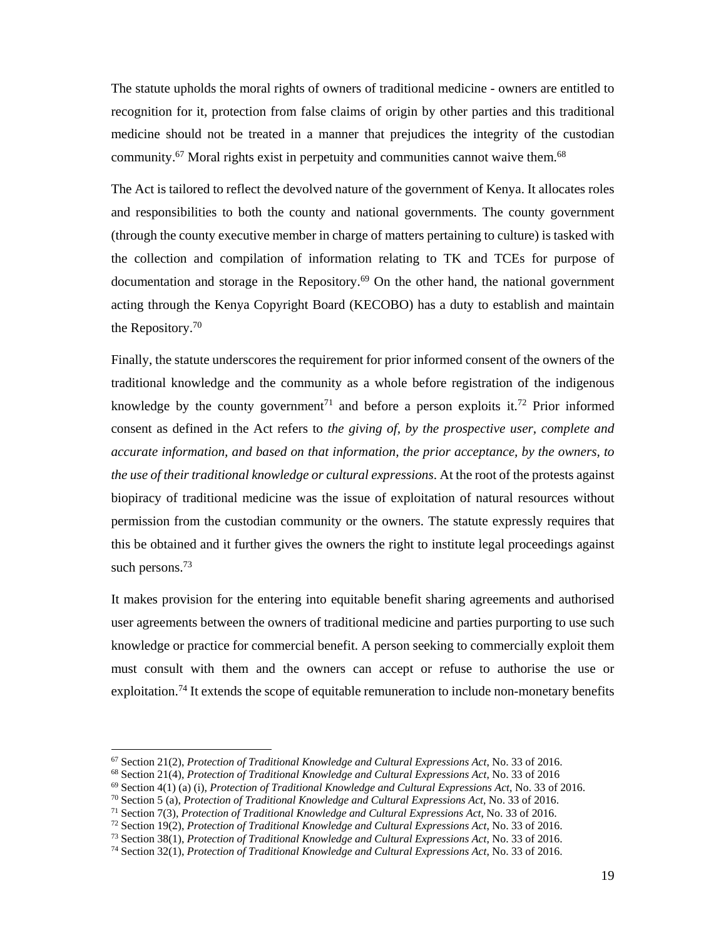The statute upholds the moral rights of owners of traditional medicine - owners are entitled to recognition for it, protection from false claims of origin by other parties and this traditional medicine should not be treated in a manner that prejudices the integrity of the custodian community.<sup>67</sup> Moral rights exist in perpetuity and communities cannot waive them.<sup>68</sup>

The Act is tailored to reflect the devolved nature of the government of Kenya. It allocates roles and responsibilities to both the county and national governments. The county government (through the county executive member in charge of matters pertaining to culture) is tasked with the collection and compilation of information relating to TK and TCEs for purpose of documentation and storage in the Repository.<sup>69</sup> On the other hand, the national government acting through the Kenya Copyright Board (KECOBO) has a duty to establish and maintain the Repository.70

Finally, the statute underscores the requirement for prior informed consent of the owners of the traditional knowledge and the community as a whole before registration of the indigenous knowledge by the county government<sup>71</sup> and before a person exploits it.<sup>72</sup> Prior informed consent as defined in the Act refers to *the giving of, by the prospective user, complete and accurate information, and based on that information, the prior acceptance, by the owners, to the use of their traditional knowledge or cultural expressions*. At the root of the protests against biopiracy of traditional medicine was the issue of exploitation of natural resources without permission from the custodian community or the owners. The statute expressly requires that this be obtained and it further gives the owners the right to institute legal proceedings against such persons.<sup>73</sup>

It makes provision for the entering into equitable benefit sharing agreements and authorised user agreements between the owners of traditional medicine and parties purporting to use such knowledge or practice for commercial benefit. A person seeking to commercially exploit them must consult with them and the owners can accept or refuse to authorise the use or exploitation.<sup>74</sup> It extends the scope of equitable remuneration to include non-monetary benefits

<sup>&</sup>lt;sup>67</sup> Section 21(2), *Protection of Traditional Knowledge and Cultural Expressions Act*, No. 33 of 2016.<br><sup>68</sup> Section 21(4), *Protection of Traditional Knowledge and Cultural Expressions Act*, No. 33 of 2016<br><sup>69</sup> Section 4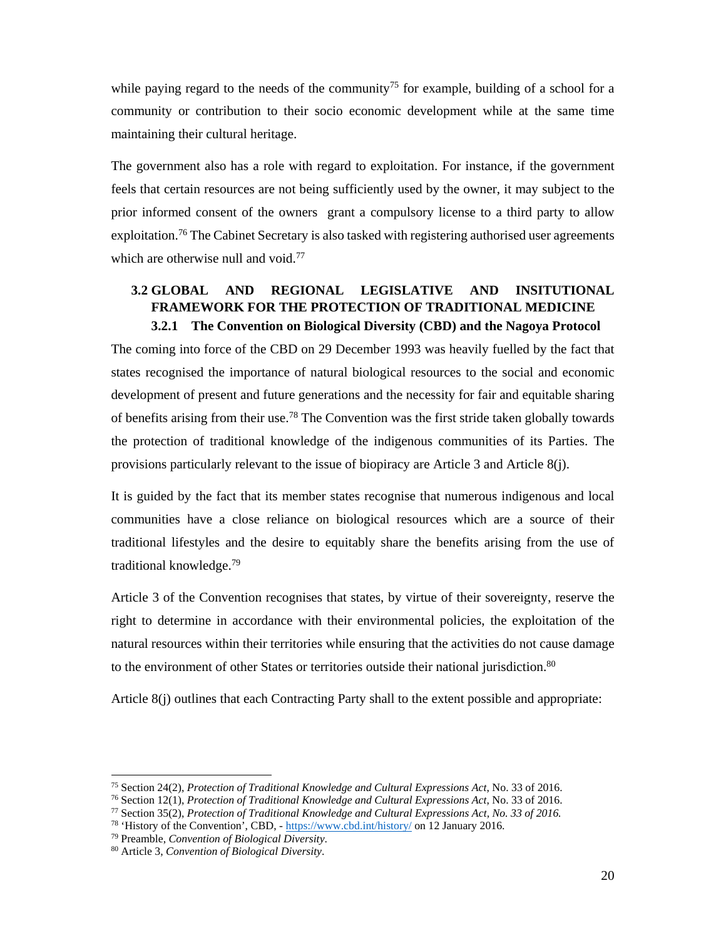while paying regard to the needs of the community<sup>75</sup> for example, building of a school for a community or contribution to their socio economic development while at the same time maintaining their cultural heritage.

The government also has a role with regard to exploitation. For instance, if the government feels that certain resources are not being sufficiently used by the owner, it may subject to the prior informed consent of the owners grant a compulsory license to a third party to allow exploitation.<sup>76</sup> The Cabinet Secretary is also tasked with registering authorised user agreements which are otherwise null and void.<sup>77</sup>

# **3.2 GLOBAL AND REGIONAL LEGISLATIVE AND INSITUTIONAL FRAMEWORK FOR THE PROTECTION OF TRADITIONAL MEDICINE 3.2.1 The Convention on Biological Diversity (CBD) and the Nagoya Protocol**

The coming into force of the CBD on 29 December 1993 was heavily fuelled by the fact that states recognised the importance of natural biological resources to the social and economic development of present and future generations and the necessity for fair and equitable sharing of benefits arising from their use.<sup>78</sup> The Convention was the first stride taken globally towards the protection of traditional knowledge of the indigenous communities of its Parties. The provisions particularly relevant to the issue of biopiracy are Article 3 and Article 8(j).

It is guided by the fact that its member states recognise that numerous indigenous and local communities have a close reliance on biological resources which are a source of their traditional lifestyles and the desire to equitably share the benefits arising from the use of traditional knowledge.79

Article 3 of the Convention recognises that states, by virtue of their sovereignty, reserve the right to determine in accordance with their environmental policies, the exploitation of the natural resources within their territories while ensuring that the activities do not cause damage to the environment of other States or territories outside their national jurisdiction.<sup>80</sup>

Article 8(j) outlines that each Contracting Party shall to the extent possible and appropriate:

<sup>&</sup>lt;sup>75</sup> Section 24(2), *Protection of Traditional Knowledge and Cultural Expressions Act*, No. 33 of 2016.<br><sup>76</sup> Section 12(1), *Protection of Traditional Knowledge and Cultural Expressions Act*, No. 33 of 2016.<br><sup>77</sup> Section

<sup>78 &#</sup>x27;History of the Convention', CBD, - https://www.cbd.int/history/ on 12 January 2016. 79 Preamble, *Convention of Biological Diversity*. 80 Article 3, *Convention of Biological Diversity*.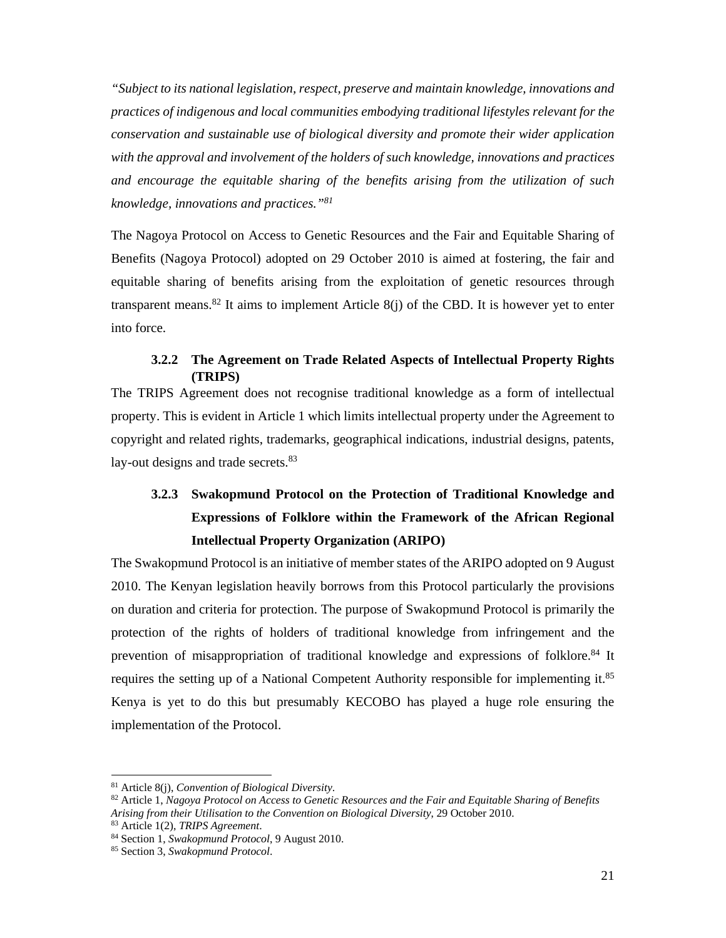*"Subject to its national legislation, respect, preserve and maintain knowledge, innovations and practices of indigenous and local communities embodying traditional lifestyles relevant for the conservation and sustainable use of biological diversity and promote their wider application with the approval and involvement of the holders of such knowledge, innovations and practices and encourage the equitable sharing of the benefits arising from the utilization of such knowledge, innovations and practices."81*

The Nagoya Protocol on Access to Genetic Resources and the Fair and Equitable Sharing of Benefits (Nagoya Protocol) adopted on 29 October 2010 is aimed at fostering, the fair and equitable sharing of benefits arising from the exploitation of genetic resources through transparent means.<sup>82</sup> It aims to implement Article  $8(i)$  of the CBD. It is however yet to enter into force.

# **3.2.2 The Agreement on Trade Related Aspects of Intellectual Property Rights (TRIPS)**

The TRIPS Agreement does not recognise traditional knowledge as a form of intellectual property. This is evident in Article 1 which limits intellectual property under the Agreement to copyright and related rights, trademarks, geographical indications, industrial designs, patents, lay-out designs and trade secrets.<sup>83</sup>

# **3.2.3 Swakopmund Protocol on the Protection of Traditional Knowledge and Expressions of Folklore within the Framework of the African Regional Intellectual Property Organization (ARIPO)**

The Swakopmund Protocol is an initiative of member states of the ARIPO adopted on 9 August 2010. The Kenyan legislation heavily borrows from this Protocol particularly the provisions on duration and criteria for protection. The purpose of Swakopmund Protocol is primarily the protection of the rights of holders of traditional knowledge from infringement and the prevention of misappropriation of traditional knowledge and expressions of folklore.<sup>84</sup> It requires the setting up of a National Competent Authority responsible for implementing it.85 Kenya is yet to do this but presumably KECOBO has played a huge role ensuring the implementation of the Protocol.

<sup>&</sup>lt;sup>81</sup> Article 8(j), *Convention of Biological Diversity*.<br><sup>82</sup> Article 1, Nagoya Protocol on Access to Genetic Resources and the Fair and Equitable Sharing of Benefits Arising from their Utilisation to the Convention on Biological Diversity, 29 October 2010.<br><sup>83</sup> Article 1(2), *TRIPS Agreement*.<br><sup>84</sup> Section 1, *Swakopmund Protocol*, 9 August 2010.<br><sup>85</sup> Section 3, *Swakopmund Protocol*.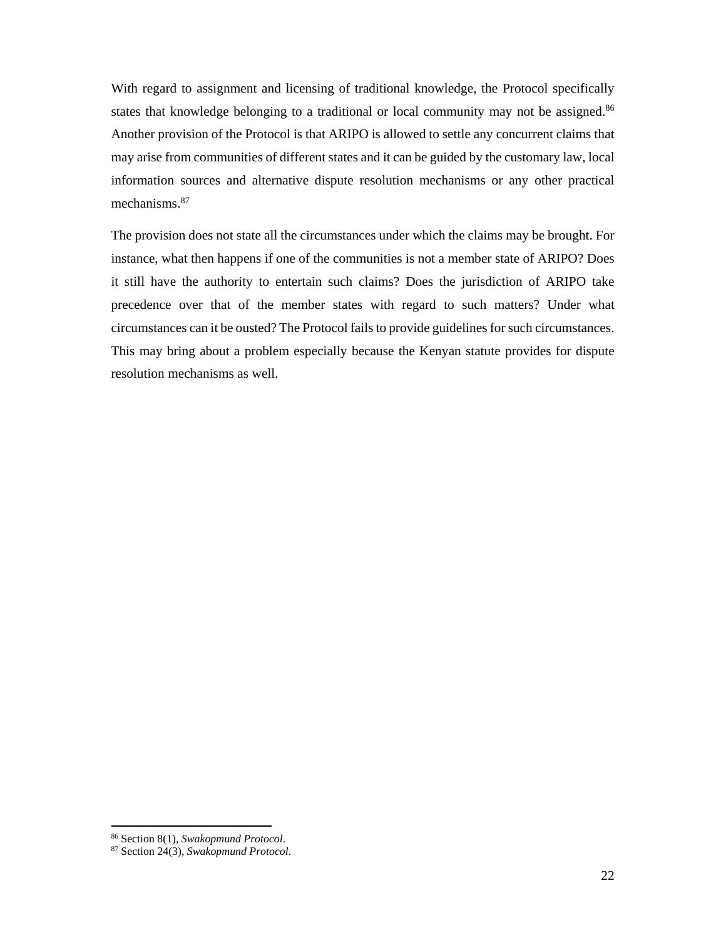With regard to assignment and licensing of traditional knowledge, the Protocol specifically states that knowledge belonging to a traditional or local community may not be assigned.<sup>86</sup> Another provision of the Protocol is that ARIPO is allowed to settle any concurrent claims that may arise from communities of different states and it can be guided by the customary law, local information sources and alternative dispute resolution mechanisms or any other practical mechanisms.87

The provision does not state all the circumstances under which the claims may be brought. For instance, what then happens if one of the communities is not a member state of ARIPO? Does it still have the authority to entertain such claims? Does the jurisdiction of ARIPO take precedence over that of the member states with regard to such matters? Under what circumstances can it be ousted? The Protocol fails to provide guidelines for such circumstances. This may bring about a problem especially because the Kenyan statute provides for dispute resolution mechanisms as well.

<sup>86</sup> Section 8(1), *Swakopmund Protocol*. 87 Section 24(3), *Swakopmund Protocol*.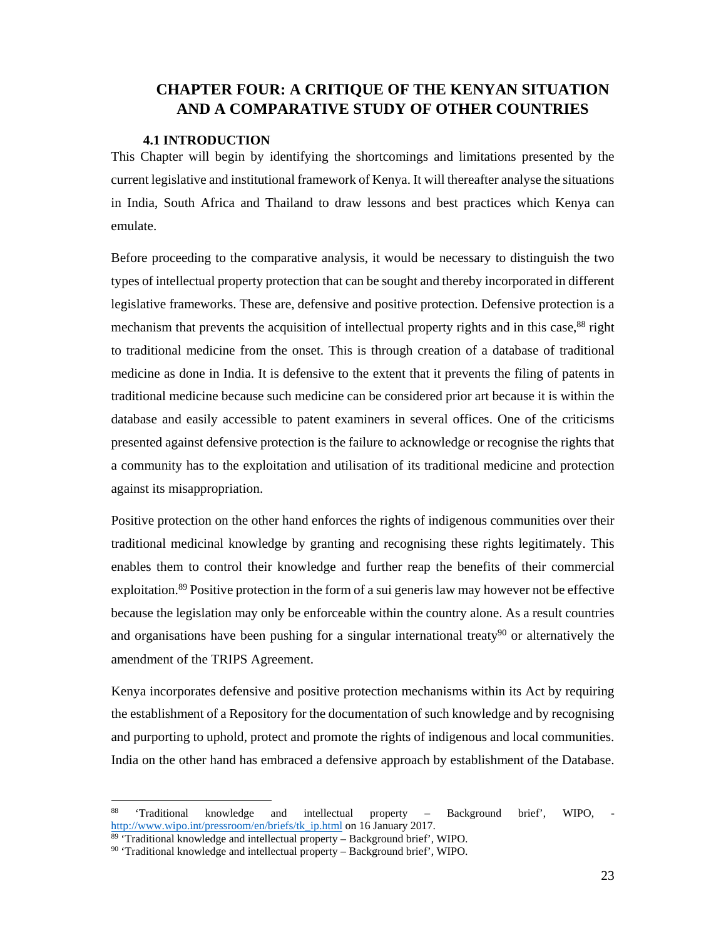# **CHAPTER FOUR: A CRITIQUE OF THE KENYAN SITUATION AND A COMPARATIVE STUDY OF OTHER COUNTRIES**

## **4.1 INTRODUCTION**

This Chapter will begin by identifying the shortcomings and limitations presented by the current legislative and institutional framework of Kenya. It will thereafter analyse the situations in India, South Africa and Thailand to draw lessons and best practices which Kenya can emulate.

Before proceeding to the comparative analysis, it would be necessary to distinguish the two types of intellectual property protection that can be sought and thereby incorporated in different legislative frameworks. These are, defensive and positive protection. Defensive protection is a mechanism that prevents the acquisition of intellectual property rights and in this case,<sup>88</sup> right to traditional medicine from the onset. This is through creation of a database of traditional medicine as done in India. It is defensive to the extent that it prevents the filing of patents in traditional medicine because such medicine can be considered prior art because it is within the database and easily accessible to patent examiners in several offices. One of the criticisms presented against defensive protection is the failure to acknowledge or recognise the rights that a community has to the exploitation and utilisation of its traditional medicine and protection against its misappropriation.

Positive protection on the other hand enforces the rights of indigenous communities over their traditional medicinal knowledge by granting and recognising these rights legitimately. This enables them to control their knowledge and further reap the benefits of their commercial exploitation.<sup>89</sup> Positive protection in the form of a sui generis law may however not be effective because the legislation may only be enforceable within the country alone. As a result countries and organisations have been pushing for a singular international treaty<sup>90</sup> or alternatively the amendment of the TRIPS Agreement.

Kenya incorporates defensive and positive protection mechanisms within its Act by requiring the establishment of a Repository for the documentation of such knowledge and by recognising and purporting to uphold, protect and promote the rights of indigenous and local communities. India on the other hand has embraced a defensive approach by establishment of the Database.

<sup>&#</sup>x27;Traditional knowledge and intellectual property - Background brief', WIPO, http://www.wipo.int/pressroom/en/briefs/tk\_ip.html on 16 January 2017.

<sup>89 &#</sup>x27;Traditional knowledge and intellectual property – Background brief', WIPO.

 $90$  'Traditional knowledge and intellectual property – Background brief', WIPO.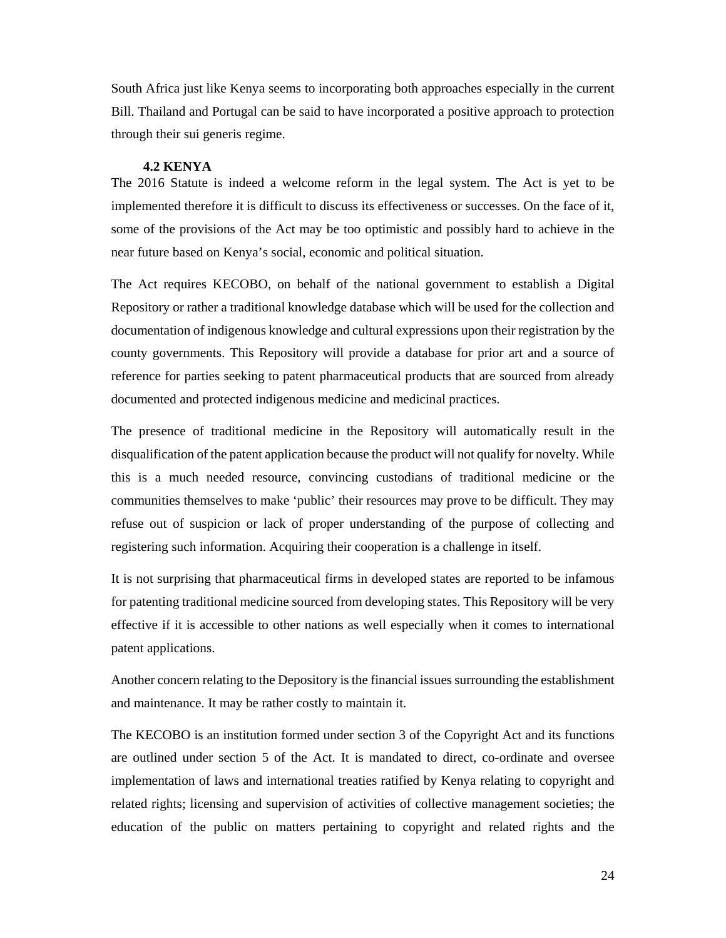South Africa just like Kenya seems to incorporating both approaches especially in the current Bill. Thailand and Portugal can be said to have incorporated a positive approach to protection through their sui generis regime.

#### **4.2 KENYA**

The 2016 Statute is indeed a welcome reform in the legal system. The Act is yet to be implemented therefore it is difficult to discuss its effectiveness or successes. On the face of it, some of the provisions of the Act may be too optimistic and possibly hard to achieve in the near future based on Kenya's social, economic and political situation.

The Act requires KECOBO, on behalf of the national government to establish a Digital Repository or rather a traditional knowledge database which will be used for the collection and documentation of indigenous knowledge and cultural expressions upon their registration by the county governments. This Repository will provide a database for prior art and a source of reference for parties seeking to patent pharmaceutical products that are sourced from already documented and protected indigenous medicine and medicinal practices.

The presence of traditional medicine in the Repository will automatically result in the disqualification of the patent application because the product will not qualify for novelty. While this is a much needed resource, convincing custodians of traditional medicine or the communities themselves to make 'public' their resources may prove to be difficult. They may refuse out of suspicion or lack of proper understanding of the purpose of collecting and registering such information. Acquiring their cooperation is a challenge in itself.

It is not surprising that pharmaceutical firms in developed states are reported to be infamous for patenting traditional medicine sourced from developing states. This Repository will be very effective if it is accessible to other nations as well especially when it comes to international patent applications.

Another concern relating to the Depository is the financial issues surrounding the establishment and maintenance. It may be rather costly to maintain it.

The KECOBO is an institution formed under section 3 of the Copyright Act and its functions are outlined under section 5 of the Act. It is mandated to direct, co-ordinate and oversee implementation of laws and international treaties ratified by Kenya relating to copyright and related rights; licensing and supervision of activities of collective management societies; the education of the public on matters pertaining to copyright and related rights and the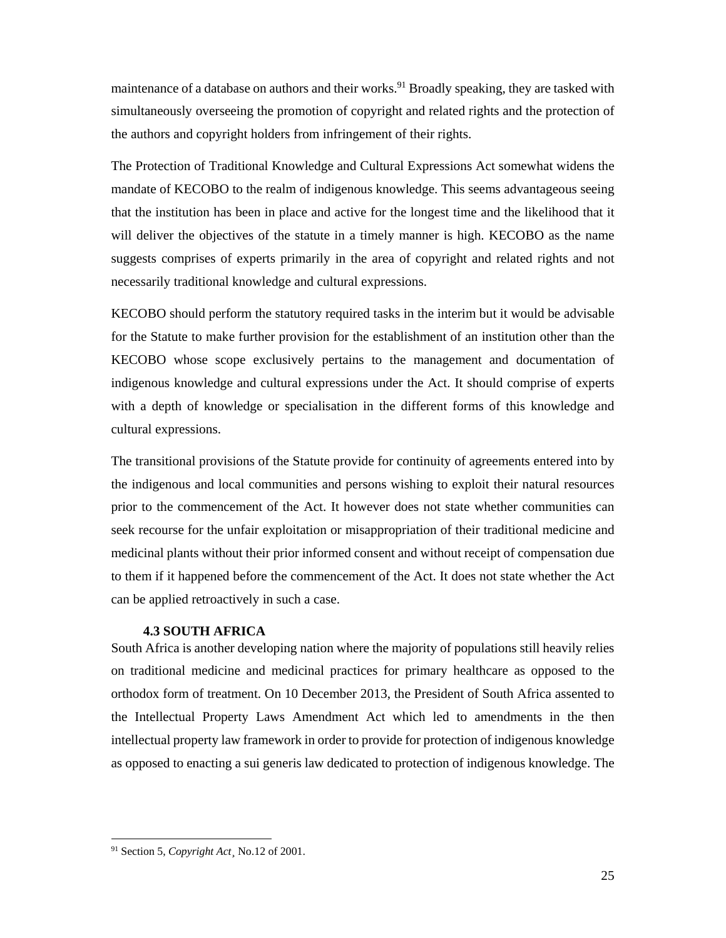maintenance of a database on authors and their works.<sup>91</sup> Broadly speaking, they are tasked with simultaneously overseeing the promotion of copyright and related rights and the protection of the authors and copyright holders from infringement of their rights.

The Protection of Traditional Knowledge and Cultural Expressions Act somewhat widens the mandate of KECOBO to the realm of indigenous knowledge. This seems advantageous seeing that the institution has been in place and active for the longest time and the likelihood that it will deliver the objectives of the statute in a timely manner is high. KECOBO as the name suggests comprises of experts primarily in the area of copyright and related rights and not necessarily traditional knowledge and cultural expressions.

KECOBO should perform the statutory required tasks in the interim but it would be advisable for the Statute to make further provision for the establishment of an institution other than the KECOBO whose scope exclusively pertains to the management and documentation of indigenous knowledge and cultural expressions under the Act. It should comprise of experts with a depth of knowledge or specialisation in the different forms of this knowledge and cultural expressions.

The transitional provisions of the Statute provide for continuity of agreements entered into by the indigenous and local communities and persons wishing to exploit their natural resources prior to the commencement of the Act. It however does not state whether communities can seek recourse for the unfair exploitation or misappropriation of their traditional medicine and medicinal plants without their prior informed consent and without receipt of compensation due to them if it happened before the commencement of the Act. It does not state whether the Act can be applied retroactively in such a case.

### **4.3 SOUTH AFRICA**

South Africa is another developing nation where the majority of populations still heavily relies on traditional medicine and medicinal practices for primary healthcare as opposed to the orthodox form of treatment. On 10 December 2013, the President of South Africa assented to the Intellectual Property Laws Amendment Act which led to amendments in the then intellectual property law framework in order to provide for protection of indigenous knowledge as opposed to enacting a sui generis law dedicated to protection of indigenous knowledge. The

<sup>91</sup> Section 5, *Copyright Act*¸ No.12 of 2001.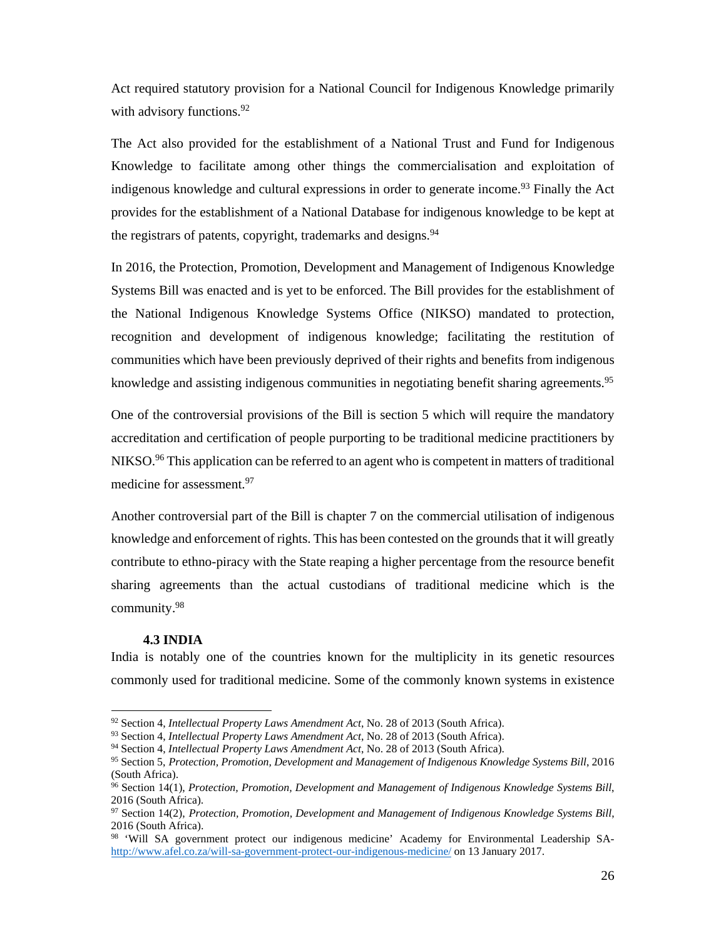Act required statutory provision for a National Council for Indigenous Knowledge primarily with advisory functions.<sup>92</sup>

The Act also provided for the establishment of a National Trust and Fund for Indigenous Knowledge to facilitate among other things the commercialisation and exploitation of indigenous knowledge and cultural expressions in order to generate income.<sup>93</sup> Finally the Act provides for the establishment of a National Database for indigenous knowledge to be kept at the registrars of patents, copyright, trademarks and designs.<sup>94</sup>

In 2016, the Protection, Promotion, Development and Management of Indigenous Knowledge Systems Bill was enacted and is yet to be enforced. The Bill provides for the establishment of the National Indigenous Knowledge Systems Office (NIKSO) mandated to protection, recognition and development of indigenous knowledge; facilitating the restitution of communities which have been previously deprived of their rights and benefits from indigenous knowledge and assisting indigenous communities in negotiating benefit sharing agreements.<sup>95</sup>

One of the controversial provisions of the Bill is section 5 which will require the mandatory accreditation and certification of people purporting to be traditional medicine practitioners by NIKSO.<sup>96</sup> This application can be referred to an agent who is competent in matters of traditional medicine for assessment.<sup>97</sup>

Another controversial part of the Bill is chapter 7 on the commercial utilisation of indigenous knowledge and enforcement of rights. This has been contested on the grounds that it will greatly contribute to ethno-piracy with the State reaping a higher percentage from the resource benefit sharing agreements than the actual custodians of traditional medicine which is the community.98

#### **4.3 INDIA**

-

India is notably one of the countries known for the multiplicity in its genetic resources commonly used for traditional medicine. Some of the commonly known systems in existence

<sup>&</sup>lt;sup>92</sup> Section 4, *Intellectual Property Laws Amendment Act*, No. 28 of 2013 (South Africa).<br><sup>93</sup> Section 4, *Intellectual Property Laws Amendment Act*, No. 28 of 2013 (South Africa).<br><sup>94</sup> Section 4, *Intellectual Property* (South Africa).

<sup>96</sup> Section 14(1), *Protection, Promotion, Development and Management of Indigenous Knowledge Systems Bill*, 2016 (South Africa).

<sup>97</sup> Section 14(2), *Protection, Promotion, Development and Management of Indigenous Knowledge Systems Bill*, 2016 (South Africa).

<sup>98 &#</sup>x27;Will SA government protect our indigenous medicine' Academy for Environmental Leadership SAhttp://www.afel.co.za/will-sa-government-protect-our-indigenous-medicine/ on 13 January 2017.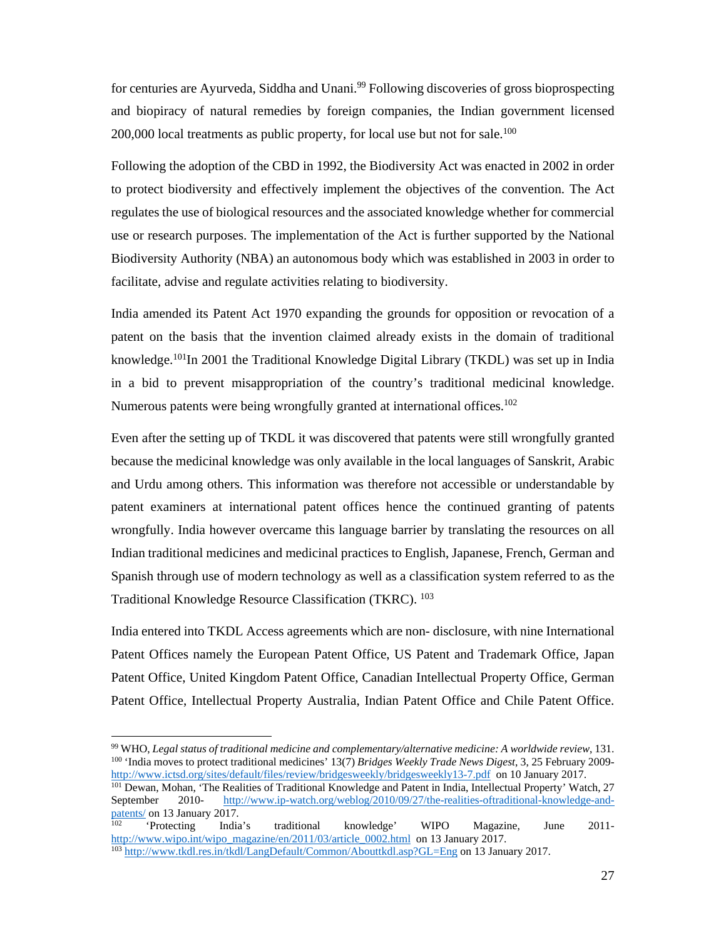for centuries are Ayurveda, Siddha and Unani.<sup>99</sup> Following discoveries of gross bioprospecting and biopiracy of natural remedies by foreign companies, the Indian government licensed  $200,000$  local treatments as public property, for local use but not for sale.<sup>100</sup>

Following the adoption of the CBD in 1992, the Biodiversity Act was enacted in 2002 in order to protect biodiversity and effectively implement the objectives of the convention. The Act regulates the use of biological resources and the associated knowledge whether for commercial use or research purposes. The implementation of the Act is further supported by the National Biodiversity Authority (NBA) an autonomous body which was established in 2003 in order to facilitate, advise and regulate activities relating to biodiversity.

India amended its Patent Act 1970 expanding the grounds for opposition or revocation of a patent on the basis that the invention claimed already exists in the domain of traditional knowledge.101In 2001 the Traditional Knowledge Digital Library (TKDL) was set up in India in a bid to prevent misappropriation of the country's traditional medicinal knowledge. Numerous patents were being wrongfully granted at international offices.<sup>102</sup>

Even after the setting up of TKDL it was discovered that patents were still wrongfully granted because the medicinal knowledge was only available in the local languages of Sanskrit, Arabic and Urdu among others. This information was therefore not accessible or understandable by patent examiners at international patent offices hence the continued granting of patents wrongfully. India however overcame this language barrier by translating the resources on all Indian traditional medicines and medicinal practices to English, Japanese, French, German and Spanish through use of modern technology as well as a classification system referred to as the Traditional Knowledge Resource Classification (TKRC). 103

India entered into TKDL Access agreements which are non- disclosure, with nine International Patent Offices namely the European Patent Office, US Patent and Trademark Office, Japan Patent Office, United Kingdom Patent Office, Canadian Intellectual Property Office, German Patent Office, Intellectual Property Australia, Indian Patent Office and Chile Patent Office.

-

<sup>101</sup> Dewan, Mohan, 'The Realities of Traditional Knowledge and Patent in India, Intellectual Property' Watch, 27 September 2010- http://www.ip-watch.org/weblog/2010/09/27/the-realities-oftraditional-knowledge-and-Patents/ on 13 January 2017.<br>
<sup>102</sup> 'Protecting India's traditional knowledge' WIPO Magazine, June 2011-

<sup>&</sup>lt;sup>99</sup> WHO, *Legal status of traditional medicine and complementary/alternative medicine:* A *worldwide review*, 131.<br><sup>100</sup> 'India moves to protect traditional medicines' 13(7) *Bridges Weekly Trade News Digest*, 3, 25 Febr

http://www.wipo.int/wipo\_magazine/en/2011/03/article\_0002.html on 13 January 2017.<br><sup>103</sup> http://www.tkdl.res.in/tkdl/LangDefault/Common/Abouttkdl.asp?GL=Eng on 13 January 2017.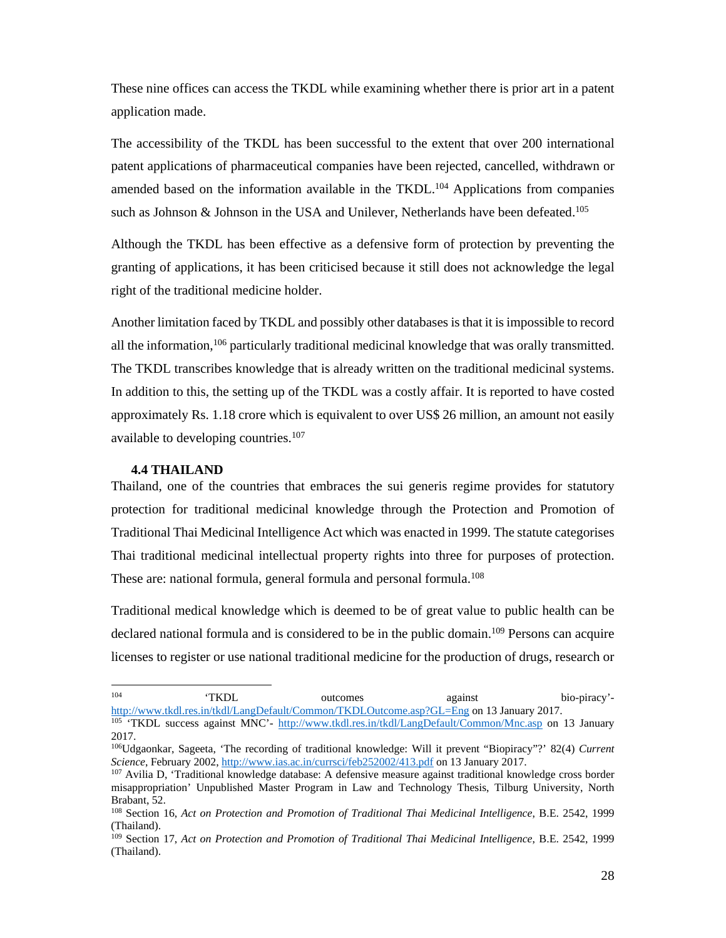These nine offices can access the TKDL while examining whether there is prior art in a patent application made.

The accessibility of the TKDL has been successful to the extent that over 200 international patent applications of pharmaceutical companies have been rejected, cancelled, withdrawn or amended based on the information available in the TKDL.<sup>104</sup> Applications from companies such as Johnson & Johnson in the USA and Unilever, Netherlands have been defeated.<sup>105</sup>

Although the TKDL has been effective as a defensive form of protection by preventing the granting of applications, it has been criticised because it still does not acknowledge the legal right of the traditional medicine holder.

Another limitation faced by TKDL and possibly other databases is that it is impossible to record all the information,<sup>106</sup> particularly traditional medicinal knowledge that was orally transmitted. The TKDL transcribes knowledge that is already written on the traditional medicinal systems. In addition to this, the setting up of the TKDL was a costly affair. It is reported to have costed approximately Rs. 1.18 crore which is equivalent to over US\$ 26 million, an amount not easily available to developing countries.<sup>107</sup>

### **4.4 THAILAND**

Thailand, one of the countries that embraces the sui generis regime provides for statutory protection for traditional medicinal knowledge through the Protection and Promotion of Traditional Thai Medicinal Intelligence Act which was enacted in 1999. The statute categorises Thai traditional medicinal intellectual property rights into three for purposes of protection. These are: national formula, general formula and personal formula.<sup>108</sup>

Traditional medical knowledge which is deemed to be of great value to public health can be declared national formula and is considered to be in the public domain.<sup>109</sup> Persons can acquire licenses to register or use national traditional medicine for the production of drugs, research or

 $104$ 104 'TKDL outcomes against bio-piracy' http://www.tkdl.res.in/tkdl/LangDefault/Common/TKDLOutcome.asp?GL=Eng on 13 January 2017.<br><sup>105</sup> 'TKDL success against MNC'- http://www.tkdl.res.in/tkdl/LangDefault/Common/Mnc.asp on 13 January

<sup>2017.</sup> 

<sup>&</sup>lt;sup>106</sup>Udgaonkar, Sageeta, 'The recording of traditional knowledge: Will it prevent "Biopiracy"?' 82(4) *Current Science*, February 2002, http://www.ias.ac.in/currsci/feb252002/413.pdf on 13 January 2017.

<sup>&</sup>lt;sup>107</sup> Avilia D, 'Traditional knowledge database: A defensive measure against traditional knowledge cross border misappropriation' Unpublished Master Program in Law and Technology Thesis, Tilburg University, North Brabant, 52.

<sup>108</sup> Section 16, *Act on Protection and Promotion of Traditional Thai Medicinal Intelligence*, B.E. 2542, 1999 (Thailand).

<sup>109</sup> Section 17, *Act on Protection and Promotion of Traditional Thai Medicinal Intelligence*, B.E. 2542, 1999 (Thailand).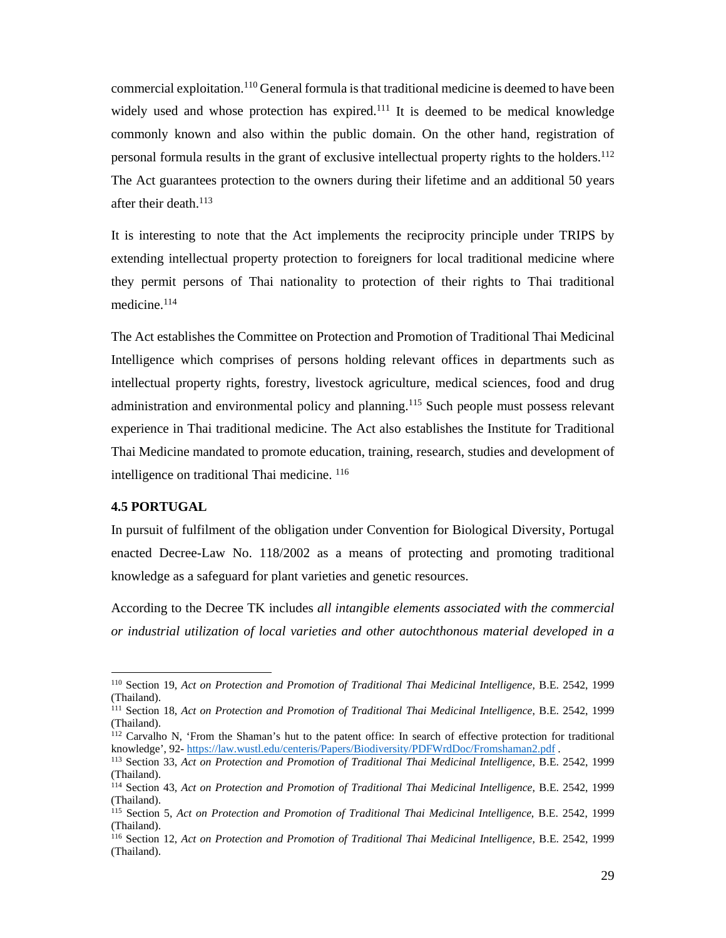commercial exploitation.110 General formula is that traditional medicine is deemed to have been widely used and whose protection has expired.<sup>111</sup> It is deemed to be medical knowledge commonly known and also within the public domain. On the other hand, registration of personal formula results in the grant of exclusive intellectual property rights to the holders.112 The Act guarantees protection to the owners during their lifetime and an additional 50 years after their death. $113$ 

It is interesting to note that the Act implements the reciprocity principle under TRIPS by extending intellectual property protection to foreigners for local traditional medicine where they permit persons of Thai nationality to protection of their rights to Thai traditional medicine.114

The Act establishes the Committee on Protection and Promotion of Traditional Thai Medicinal Intelligence which comprises of persons holding relevant offices in departments such as intellectual property rights, forestry, livestock agriculture, medical sciences, food and drug administration and environmental policy and planning.<sup>115</sup> Such people must possess relevant experience in Thai traditional medicine. The Act also establishes the Institute for Traditional Thai Medicine mandated to promote education, training, research, studies and development of intelligence on traditional Thai medicine. 116

# **4.5 PORTUGAL**

-

In pursuit of fulfilment of the obligation under Convention for Biological Diversity, Portugal enacted Decree-Law No. 118/2002 as a means of protecting and promoting traditional knowledge as a safeguard for plant varieties and genetic resources.

According to the Decree TK includes *all intangible elements associated with the commercial or industrial utilization of local varieties and other autochthonous material developed in a* 

<sup>110</sup> Section 19, *Act on Protection and Promotion of Traditional Thai Medicinal Intelligence*, B.E. 2542, 1999 (Thailand).

<sup>111</sup> Section 18, *Act on Protection and Promotion of Traditional Thai Medicinal Intelligence*, B.E. 2542, 1999 (Thailand).

<sup>&</sup>lt;sup>112</sup> Carvalho N, 'From the Shaman's hut to the patent office: In search of effective protection for traditional knowledge', 92- https://law.wustl.edu/centeris/Papers/Biodiversity/PDFWrdDoc/Fromshaman2.pdf.

<sup>&</sup>lt;sup>113</sup> Section 33, Act on Protection and Promotion of Traditional Thai Medicinal Intelligence, B.E. 2542, 1999 (Thailand).

<sup>114</sup> Section 43, *Act on Protection and Promotion of Traditional Thai Medicinal Intelligence*, B.E. 2542, 1999 (Thailand).

<sup>115</sup> Section 5, *Act on Protection and Promotion of Traditional Thai Medicinal Intelligence*, B.E. 2542, 1999 (Thailand).

<sup>116</sup> Section 12, *Act on Protection and Promotion of Traditional Thai Medicinal Intelligence*, B.E. 2542, 1999 (Thailand).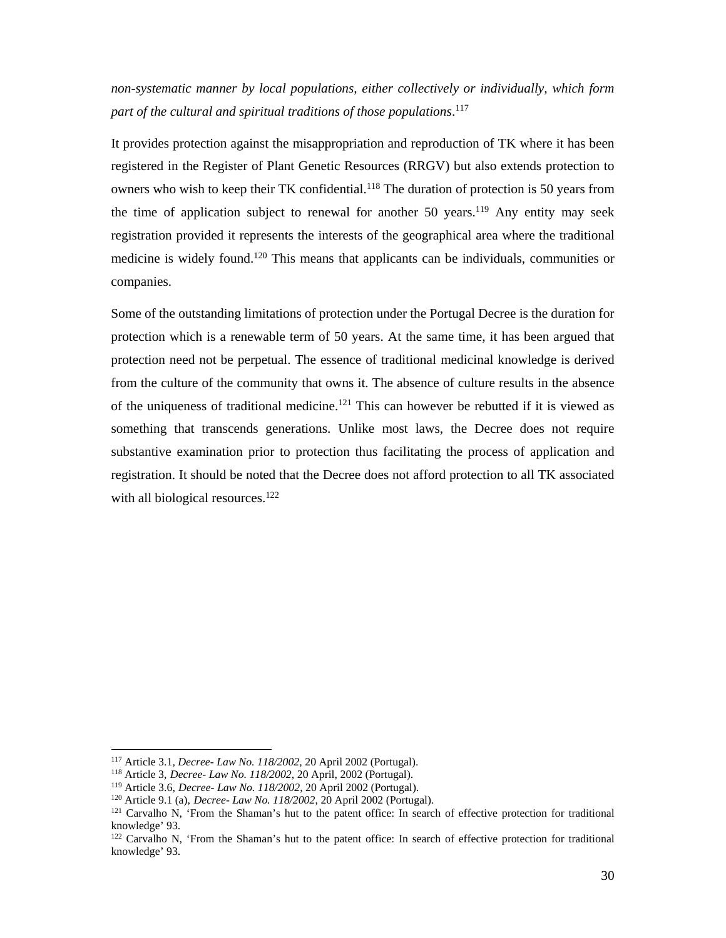*non-systematic manner by local populations, either collectively or individually, which form part of the cultural and spiritual traditions of those populations*. 117

It provides protection against the misappropriation and reproduction of TK where it has been registered in the Register of Plant Genetic Resources (RRGV) but also extends protection to owners who wish to keep their TK confidential.<sup>118</sup> The duration of protection is 50 years from the time of application subject to renewal for another 50 years.<sup>119</sup> Any entity may seek registration provided it represents the interests of the geographical area where the traditional medicine is widely found.120 This means that applicants can be individuals, communities or companies.

Some of the outstanding limitations of protection under the Portugal Decree is the duration for protection which is a renewable term of 50 years. At the same time, it has been argued that protection need not be perpetual. The essence of traditional medicinal knowledge is derived from the culture of the community that owns it. The absence of culture results in the absence of the uniqueness of traditional medicine.<sup>121</sup> This can however be rebutted if it is viewed as something that transcends generations. Unlike most laws, the Decree does not require substantive examination prior to protection thus facilitating the process of application and registration. It should be noted that the Decree does not afford protection to all TK associated with all biological resources.<sup>122</sup>

<sup>&</sup>lt;sup>117</sup> Article 3.1, *Decree- Law No. 118/2002*, 20 April 2002 (Portugal).<br><sup>118</sup> Article 3, *Decree- Law No. 118/2002*, 20 April, 2002 (Portugal).<br><sup>119</sup> Article 3.6, *Decree- Law No. 118/2002*, 20 April 2002 (Portugal).<br><sup>12</sup> knowledge' 93.

<sup>&</sup>lt;sup>122</sup> Carvalho N, 'From the Shaman's hut to the patent office: In search of effective protection for traditional knowledge' 93.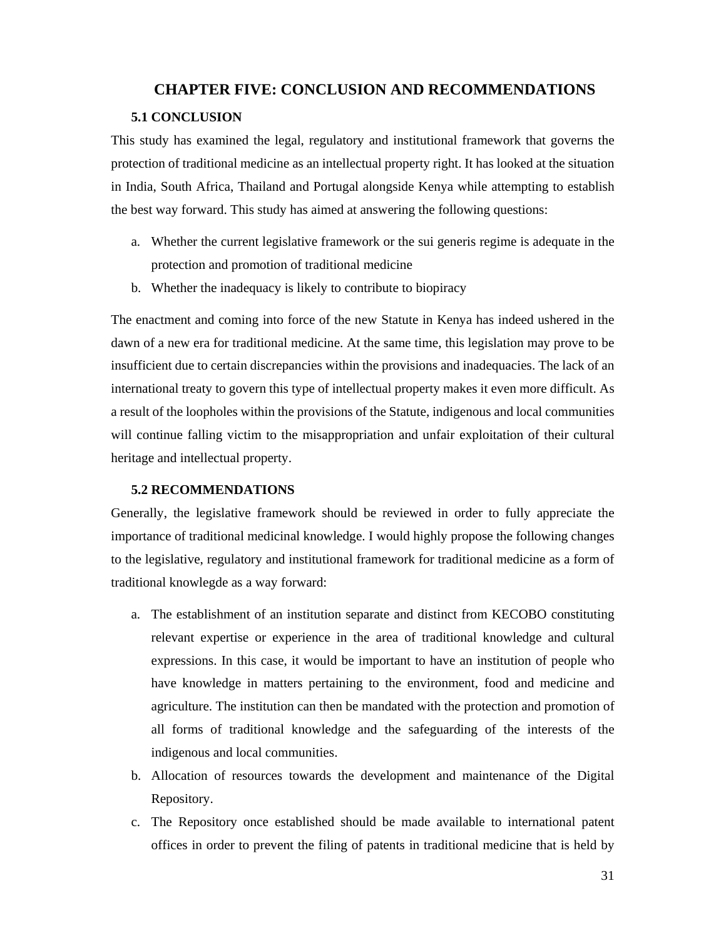# **CHAPTER FIVE: CONCLUSION AND RECOMMENDATIONS**

## **5.1 CONCLUSION**

This study has examined the legal, regulatory and institutional framework that governs the protection of traditional medicine as an intellectual property right. It has looked at the situation in India, South Africa, Thailand and Portugal alongside Kenya while attempting to establish the best way forward. This study has aimed at answering the following questions:

- a. Whether the current legislative framework or the sui generis regime is adequate in the protection and promotion of traditional medicine
- b. Whether the inadequacy is likely to contribute to biopiracy

The enactment and coming into force of the new Statute in Kenya has indeed ushered in the dawn of a new era for traditional medicine. At the same time, this legislation may prove to be insufficient due to certain discrepancies within the provisions and inadequacies. The lack of an international treaty to govern this type of intellectual property makes it even more difficult. As a result of the loopholes within the provisions of the Statute, indigenous and local communities will continue falling victim to the misappropriation and unfair exploitation of their cultural heritage and intellectual property.

### **5.2 RECOMMENDATIONS**

Generally, the legislative framework should be reviewed in order to fully appreciate the importance of traditional medicinal knowledge. I would highly propose the following changes to the legislative, regulatory and institutional framework for traditional medicine as a form of traditional knowlegde as a way forward:

- a. The establishment of an institution separate and distinct from KECOBO constituting relevant expertise or experience in the area of traditional knowledge and cultural expressions. In this case, it would be important to have an institution of people who have knowledge in matters pertaining to the environment, food and medicine and agriculture. The institution can then be mandated with the protection and promotion of all forms of traditional knowledge and the safeguarding of the interests of the indigenous and local communities.
- b. Allocation of resources towards the development and maintenance of the Digital Repository.
- c. The Repository once established should be made available to international patent offices in order to prevent the filing of patents in traditional medicine that is held by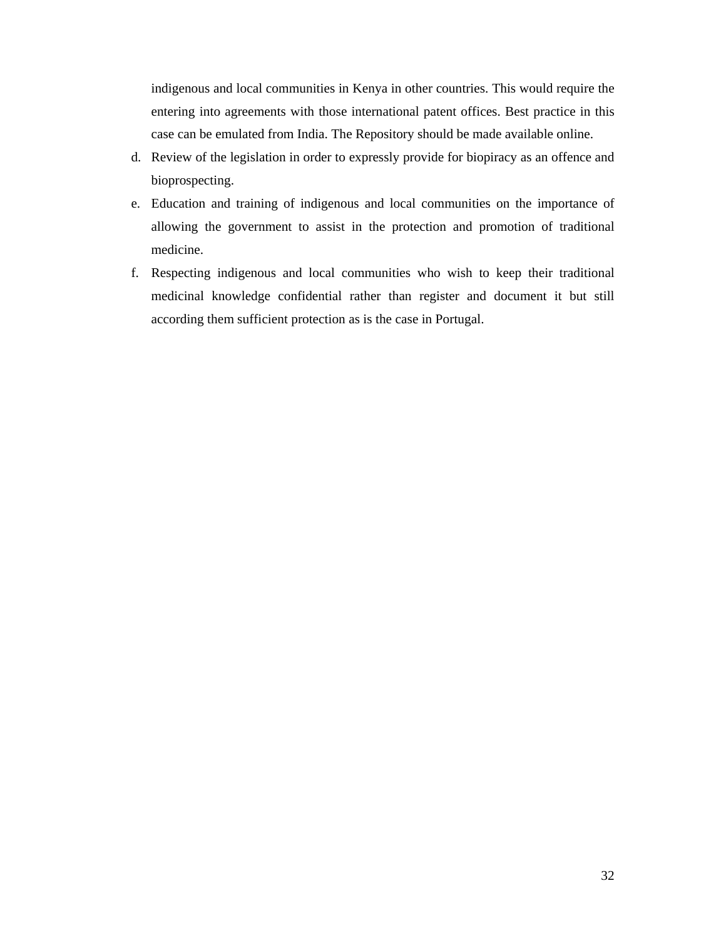indigenous and local communities in Kenya in other countries. This would require the entering into agreements with those international patent offices. Best practice in this case can be emulated from India. The Repository should be made available online.

- d. Review of the legislation in order to expressly provide for biopiracy as an offence and bioprospecting.
- e. Education and training of indigenous and local communities on the importance of allowing the government to assist in the protection and promotion of traditional medicine.
- f. Respecting indigenous and local communities who wish to keep their traditional medicinal knowledge confidential rather than register and document it but still according them sufficient protection as is the case in Portugal.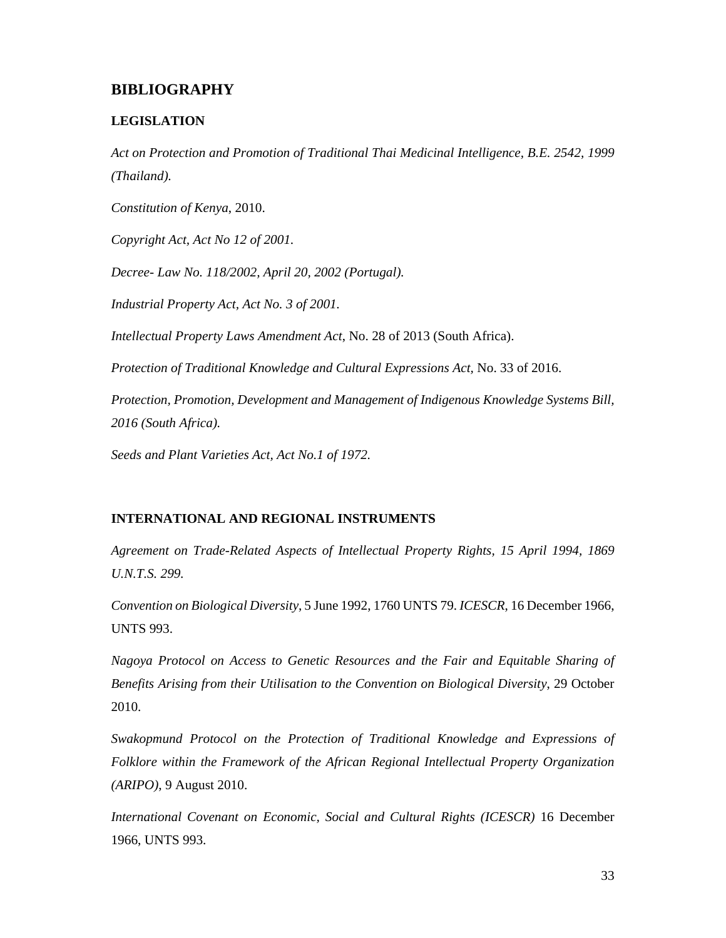# **BIBLIOGRAPHY**

# **LEGISLATION**

*Act on Protection and Promotion of Traditional Thai Medicinal Intelligence, B.E. 2542, 1999 (Thailand).* 

*Constitution of Kenya*, 2010.

*Copyright Act, Act No 12 of 2001.* 

*Decree- Law No. 118/2002, April 20, 2002 (Portugal).* 

*Industrial Property Act, Act No. 3 of 2001.* 

*Intellectual Property Laws Amendment Act*, No. 28 of 2013 (South Africa).

*Protection of Traditional Knowledge and Cultural Expressions Act,* No. 33 of 2016.

*Protection, Promotion, Development and Management of Indigenous Knowledge Systems Bill, 2016 (South Africa).* 

*Seeds and Plant Varieties Act, Act No.1 of 1972.* 

# **INTERNATIONAL AND REGIONAL INSTRUMENTS**

*Agreement on Trade-Related Aspects of Intellectual Property Rights, 15 April 1994, 1869 U.N.T.S. 299.* 

*Convention on Biological Diversity*, 5 June 1992, 1760 UNTS 79. *ICESCR*, 16 December 1966, UNTS 993.

*Nagoya Protocol on Access to Genetic Resources and the Fair and Equitable Sharing of Benefits Arising from their Utilisation to the Convention on Biological Diversity*, 29 October 2010.

*Swakopmund Protocol on the Protection of Traditional Knowledge and Expressions of Folklore within the Framework of the African Regional Intellectual Property Organization (ARIPO)*, 9 August 2010.

*International Covenant on Economic, Social and Cultural Rights (ICESCR)* 16 December 1966, UNTS 993.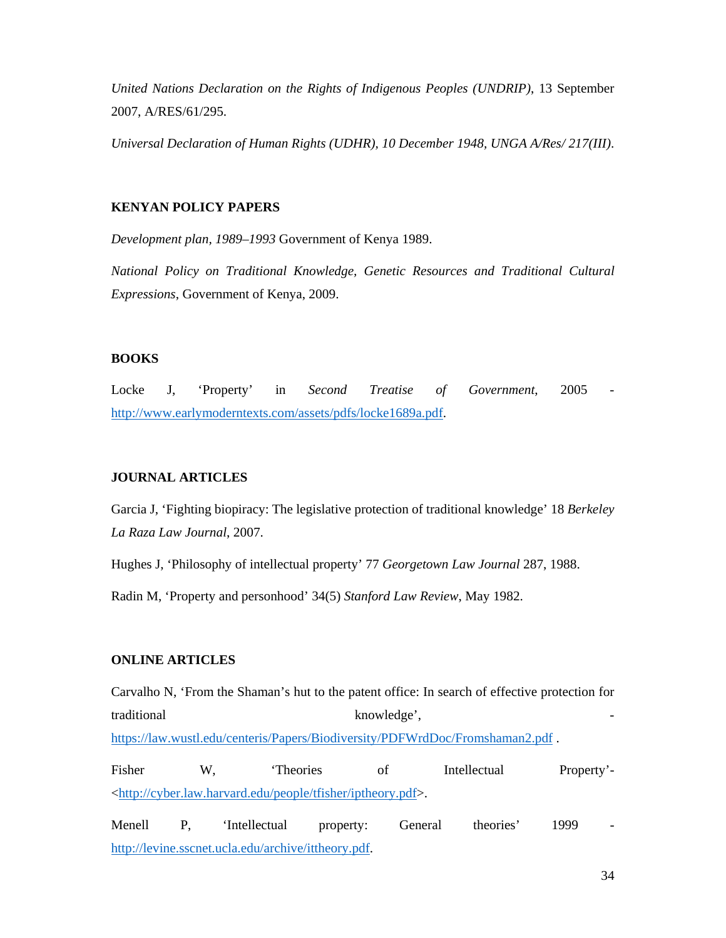*United Nations Declaration on the Rights of Indigenous Peoples (UNDRIP)*, 13 September 2007, A/RES/61/295.

*Universal Declaration of Human Rights (UDHR), 10 December 1948, UNGA A/Res/ 217(III)*.

## **KENYAN POLICY PAPERS**

*Development plan, 1989–1993* Government of Kenya 1989.

*National Policy on Traditional Knowledge, Genetic Resources and Traditional Cultural Expressions*, Government of Kenya, 2009.

# **BOOKS**

Locke J, 'Property' in *Second Treatise of Government*, 2005 http://www.earlymoderntexts.com/assets/pdfs/locke1689a.pdf.

### **JOURNAL ARTICLES**

Garcia J, 'Fighting biopiracy: The legislative protection of traditional knowledge' 18 *Berkeley La Raza Law Journal*, 2007.

Hughes J, 'Philosophy of intellectual property' 77 *Georgetown Law Journal* 287, 1988.

Radin M, 'Property and personhood' 34(5) *Stanford Law Review*, May 1982.

#### **ONLINE ARTICLES**

Carvalho N, 'From the Shaman's hut to the patent office: In search of effective protection for traditional knowledge', https://law.wustl.edu/centeris/Papers/Biodiversity/PDFWrdDoc/Fromshaman2.pdf . Fisher W, 'Theories of Intellectual Property'- <http://cyber.law.harvard.edu/people/tfisher/iptheory.pdf>.

Menell P, 'Intellectual property: General theories' 1999 http://levine.sscnet.ucla.edu/archive/ittheory.pdf.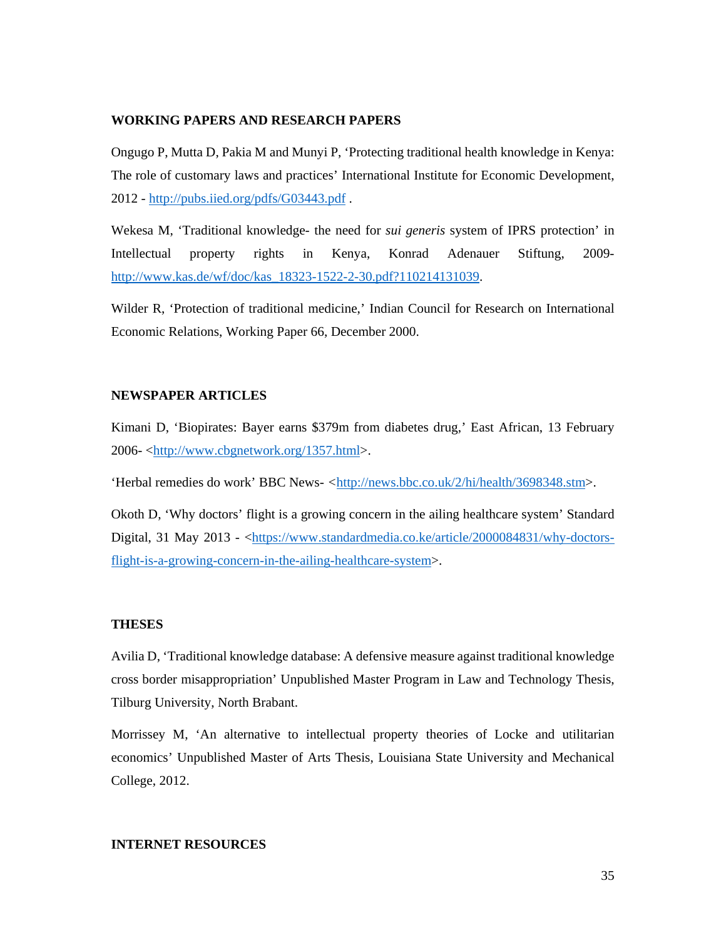### **WORKING PAPERS AND RESEARCH PAPERS**

Ongugo P, Mutta D, Pakia M and Munyi P, 'Protecting traditional health knowledge in Kenya: The role of customary laws and practices' International Institute for Economic Development, 2012 - http://pubs.iied.org/pdfs/G03443.pdf .

Wekesa M, 'Traditional knowledge- the need for *sui generis* system of IPRS protection' in Intellectual property rights in Kenya, Konrad Adenauer Stiftung, 2009 http://www.kas.de/wf/doc/kas\_18323-1522-2-30.pdf?110214131039.

Wilder R, 'Protection of traditional medicine,' Indian Council for Research on International Economic Relations, Working Paper 66, December 2000.

#### **NEWSPAPER ARTICLES**

Kimani D, 'Biopirates: Bayer earns \$379m from diabetes drug,' East African, 13 February 2006- <http://www.cbgnetwork.org/1357.html>.

'Herbal remedies do work' BBC News*- <*http://news.bbc.co.uk/2/hi/health/3698348.stm>.

Okoth D, 'Why doctors' flight is a growing concern in the ailing healthcare system' Standard Digital, 31 May 2013 - <https://www.standardmedia.co.ke/article/2000084831/why-doctorsflight-is-a-growing-concern-in-the-ailing-healthcare-system>.

#### **THESES**

Avilia D, 'Traditional knowledge database: A defensive measure against traditional knowledge cross border misappropriation' Unpublished Master Program in Law and Technology Thesis, Tilburg University, North Brabant.

Morrissey M, 'An alternative to intellectual property theories of Locke and utilitarian economics' Unpublished Master of Arts Thesis, Louisiana State University and Mechanical College, 2012.

#### **INTERNET RESOURCES**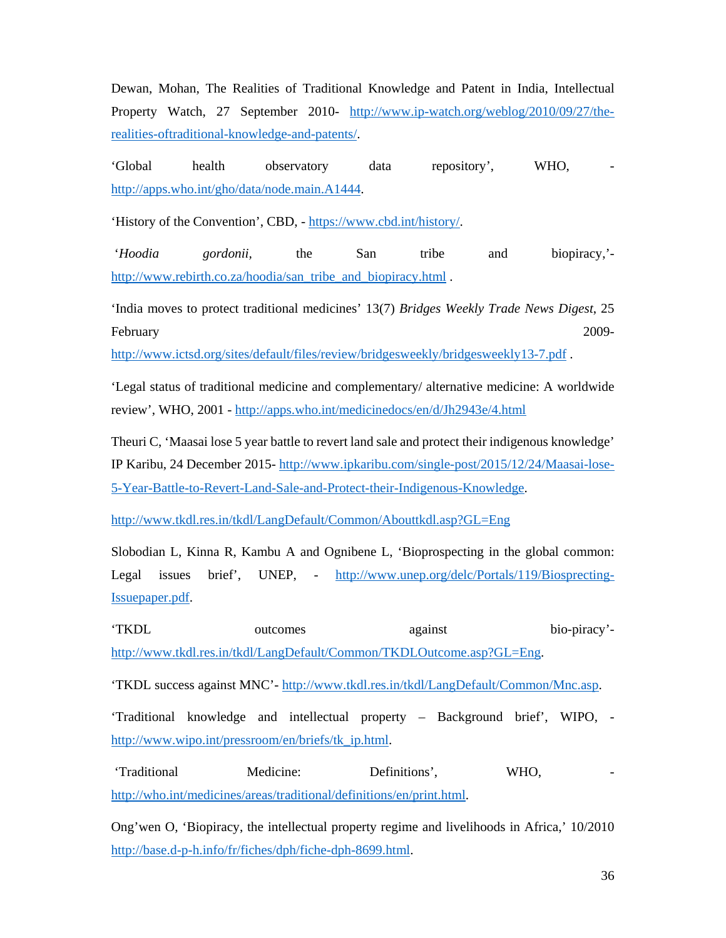Dewan, Mohan, The Realities of Traditional Knowledge and Patent in India, Intellectual Property Watch, 27 September 2010- http://www.ip-watch.org/weblog/2010/09/27/therealities-oftraditional-knowledge-and-patents/.

'Global health observatory data repository', WHO, http://apps.who.int/gho/data/node.main.A1444.

'History of the Convention', CBD, - https://www.cbd.int/history/.

 '*Hoodia gordonii,* the San tribe and biopiracy,' http://www.rebirth.co.za/hoodia/san\_tribe\_and\_biopiracy.html.

'India moves to protect traditional medicines' 13(7) *Bridges Weekly Trade News Digest*, 25 February 2009-

http://www.ictsd.org/sites/default/files/review/bridgesweekly/bridgesweekly13-7.pdf .

'Legal status of traditional medicine and complementary/ alternative medicine: A worldwide review', WHO, 2001 - http://apps.who.int/medicinedocs/en/d/Jh2943e/4.html

Theuri C, 'Maasai lose 5 year battle to revert land sale and protect their indigenous knowledge' IP Karibu, 24 December 2015- http://www.ipkaribu.com/single-post/2015/12/24/Maasai-lose-5-Year-Battle-to-Revert-Land-Sale-and-Protect-their-Indigenous-Knowledge.

http://www.tkdl.res.in/tkdl/LangDefault/Common/Abouttkdl.asp?GL=Eng

Slobodian L, Kinna R, Kambu A and Ognibene L, 'Bioprospecting in the global common: Legal issues brief', UNEP, - http://www.unep.org/delc/Portals/119/Biosprecting-Issuepaper.pdf.

'TKDL outcomes against bio-piracy' http://www.tkdl.res.in/tkdl/LangDefault/Common/TKDLOutcome.asp?GL=Eng.

'TKDL success against MNC'- http://www.tkdl.res.in/tkdl/LangDefault/Common/Mnc.asp.

'Traditional knowledge and intellectual property – Background brief', WIPO, http://www.wipo.int/pressroom/en/briefs/tk\_ip.html.

'Traditional Medicine: Definitions', WHO, http://who.int/medicines/areas/traditional/definitions/en/print.html.

Ong'wen O, 'Biopiracy, the intellectual property regime and livelihoods in Africa,' 10/2010 http://base.d-p-h.info/fr/fiches/dph/fiche-dph-8699.html.